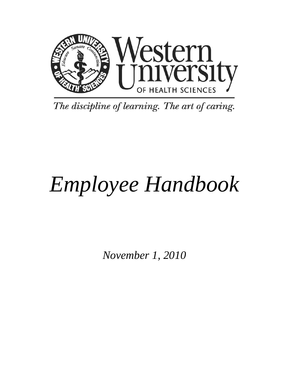

The discipline of learning. The art of caring.

# *Employee Handbook*

*November 1, 2010*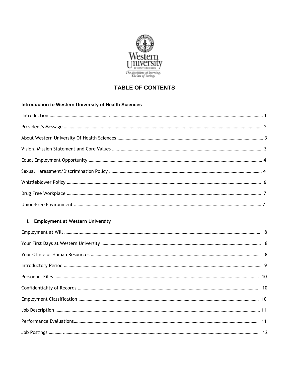

# **TABLE OF CONTENTS**

# **Introduction to Western University of Health Sciences**

# **I. Employment at Western University**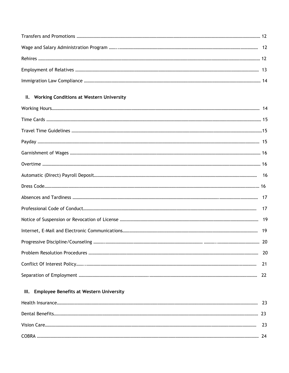# **II. Working Conditions at Western University**

# **III. Employee Benefits at Western University**

| <b>COBRA</b> |  |
|--------------|--|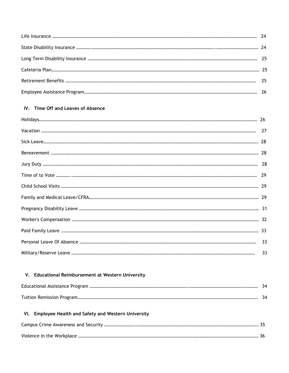# **IV. Time Off and Leaves of Absence**

# **V. Educational Reimbursement at Western University**

# **VI. Employee Health and Safety and Western University**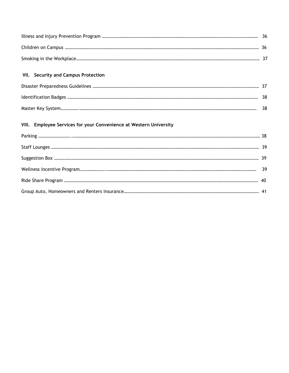# **VII. Security and Campus Protection**

| -38. |
|------|

# **VIII. Employee Services for your Convenience at Western University**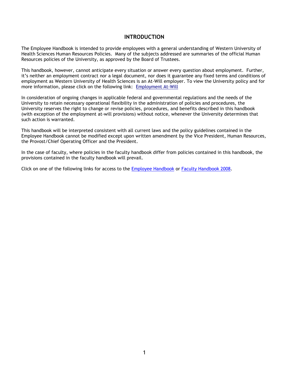# **INTRODUCTION**

The Employee Handbook is intended to provide employees with a general understanding of Western University of Health Sciences Human Resources Policies. Many of the subjects addressed are summaries of the official Human Resources policies of the University, as approved by the Board of Trustees.

This handbook, however, cannot anticipate every situation or answer every question about employment. Further, it's neither an employment contract nor a legal document, nor does it guarantee any fixed terms and conditions of employment as Western University of Health Sciences is an At-Will employer. To view the University policy and for more information, please click on the following link: [Employment At-Will](https://wsprod.westernu.edu/policy/pp_policies_view.jsp?PID=817) 

In consideration of ongoing changes in applicable federal and governmental regulations and the needs of the University to retain necessary operational flexibility in the administration of policies and procedures, the University reserves the right to change or revise policies, procedures, and benefits described in this handbook (with exception of the employment at-will provisions) without notice, whenever the University determines that such action is warranted.

This handbook will be interpreted consistent with all current laws and the policy guidelines contained in the Employee Handbook cannot be modified except upon written amendment by the Vice President, Human Resources, the Provost/Chief Operating Officer and the President.

In the case of faculty, where policies in the faculty handbook differ from policies contained in this handbook, the provisions contained in the faculty handbook will prevail.

Click on one of the following links for access to the [Employee Handbook](http://www.westernu.edu/bin/hr/employee-handbook.pdf) or [Faculty Handbook 2008.](http://www.westernu.edu/bin/hr/faculty-handbook.pdf)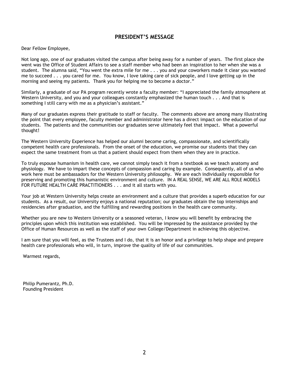# **PRESIDENT'S MESSAGE**

Dear Fellow Employee,

Not long ago, one of our graduates visited the campus after being away for a number of years. The first place she went was the Office of Student Affairs to see a staff member who had been an inspiration to her when she was a student. The alumna said, "You went the extra mile for me . . . you and your coworkers made it clear you wanted me to succeed . . . you cared for me. You know, I love taking care of sick people, and I love getting up in the morning and seeing my patients. Thank you for helping me to become a doctor."

Similarly, a graduate of our PA program recently wrote a faculty member: "I appreciated the family atmosphere at Western University, and you and your colleagues constantly emphasized the human touch . . . And that is something I still carry with me as a physician's assistant."

Many of our graduates express their gratitude to staff or faculty. The comments above are among many illustrating the point that every employee, faculty member and administrator here has a direct impact on the education of our students. The patients and the communities our graduates serve ultimately feel that impact. What a powerful thought!

The Western University Experience has helped our alumni become caring, compassionate, and scientifically competent health care professionals. From the onset of the education, we promise our students that they can expect the same treatment from us that a patient should expect from them when they are in practice.

To truly espouse humanism in health care, we cannot simply teach it from a textbook as we teach anatomy and physiology. We have to impart these concepts of compassion and caring by example. Consequently, all of us who work here must be ambassadors for the Western University philosophy. We are each individually responsible for preserving and promoting this humanistic environment and culture. IN A REAL SENSE, WE ARE ALL ROLE MODELS FOR FUTURE HEALTH CARE PRACTITIONERS . . . and it all starts with you.

Your job at Western University helps create an environment and a culture that provides a superb education for our students. As a result, our University enjoys a national reputation; our graduates obtain the top internships and residencies after graduation, and the fulfilling and rewarding positions in the health care community.

Whether you are new to Western University or a seasoned veteran, I know you will benefit by embracing the principles upon which this institution was established. You will be impressed by the assistance provided by the Office of Human Resources as well as the staff of your own College/Department in achieving this objective.

I am sure that you will feel, as the Trustees and I do, that it is an honor and a privilege to help shape and prepare health care professionals who will, in turn, improve the quality of life of our communities.

Warmest regards,

 Philip Pumerantz, Ph.D. Founding President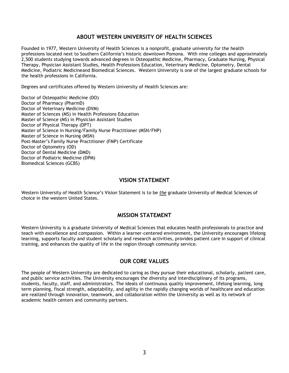# **ABOUT WESTERN UNIVERSITY OF HEALTH SCIENCES**

Founded in 1977, Western University of Health Sciences is a nonprofit, graduate university for the health professions located next to Southern California's historic downtown Pomona. With nine colleges and approximately 2,500 students studying towards advanced degrees in Osteopathic Medicine, Pharmacy, Graduate Nursing, Physical Therapy, Physician Assistant Studies, Health Professions Education, Veterinary Medicine, Optometry, Dental Medicine, Podiatric Medicine and Biomedical Sciences. Western University is one of the largest graduate schools for the health professions in California.

Degrees and certificates offered by Western University of Health Sciences are:

Doctor of Osteopathic Medicine (DO) Doctor of Pharmacy (PharmD) Doctor of Veterinary Medicine (DVM) Master of Sciences (MS) in Health Professions Education Master of Science (MS) in Physician Assistant Studies Doctor of Physical Therapy (DPT) Master of Science in Nursing/Family Nurse Practitioner (MSN/FNP) Master of Science in Nursing (MSN) Post-Master's Family Nurse Practitioner (FMP) Certificate Doctor of Optometry (OD) Doctor of Dental Medicine (DMD) Doctor of Podiatric Medicine (DPM) Biomedical Sciences (GCBS)

# **VISION STATEMENT**

Western University of Health Science's Vision Statement is to be *the* graduate University of Medical Sciences of choice in the western United States.

# **MISSION STATEMENT**

Western University is a graduate University of Medical Sciences that educates health professionals to practice and teach with excellence and compassion. Within a learner-centered environment, the University encourages lifelong learning, supports faculty and student scholarly and research activities, provides patient care in support of clinical training, and enhances the quality of life in the region through community service.

# **OUR CORE VALUES**

The people of Western University are dedicated to caring as they pursue their educational, scholarly, patient care, and public service activities. The University encourages the diversity and interdisciplinary of its programs, students, faculty, staff, and administrators. The ideals of continuous quality improvement, lifelong learning, long term planning, fiscal strength, adaptability, and agility in the rapidly changing worlds of healthcare and education are realized through innovation, teamwork, and collaboration within the University as well as its network of academic health centers and community partners.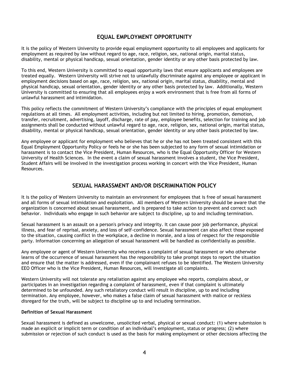# **EQUAL EMPLOYMENT OPPORTUNITY**

It is the policy of Western University to provide equal employment opportunity to all employees and applicants for employment as required by law without regard to age, race, religion, sex, national origin, marital status, disability, mental or physical handicap, sexual orientation, gender identity or any other basis protected by law.

To this end, Western University is committed to equal opportunity laws that ensure applicants and employees are treated equally. Western University will strive not to unlawfully discriminate against any employee or applicant in employment decisions based on age, race, religion, sex, national origin, marital status, disability, mental and physical handicap, sexual orientation, gender identity or any other basis protected by law. Additionally, Western University is committed to ensuring that all employees enjoy a work environment that is free from all forms of unlawful harassment and intimidation.

This policy reflects the commitment of Western University's compliance with the principles of equal employment regulations at all times. All employment activities, including but not limited to hiring, promotion, demotion, transfer, recruitment, advertising, layoff, discharge, rate of pay, employee benefits, selection for training and job assignments shall be conducted without unlawful regard to age, race, religion, sex, national origin, marital status, disability, mental or physical handicap, sexual orientation, gender identity or any other basis protected by law.

Any employee or applicant for employment who believes that he or she has not been treated consistent with this Equal Employment Opportunity Policy or feels he or she has been subjected to any form of sexual intimidation or harassment is to contact the Vice President, Human Resources, who is the Equal Opportunity Officer for Western University of Health Sciences. In the event a claim of sexual harassment involves a student, the Vice President, Student Affairs will be involved in the investigation process working in concert with the Vice President, Human Resources.

# **SEXUAL HARASSMENT AND/OR DISCRIMINATION POLICY**

It is the policy of Western University to maintain an environment for employees that is free of sexual harassment and all forms of sexual intimidation and exploitation. All members of Western University should be aware that the organization is concerned about sexual harassment, and is prepared to take action to prevent and correct such behavior. Individuals who engage in such behavior are subject to discipline, up to and including termination.

Sexual harassment is an assault on a person's privacy and integrity. It can cause poor job performance, physical illness, and fear of reprisal, anxiety, and loss of self-confidence. Sexual harassment can also affect those exposed to the situation, causing conflict in the workplace, a decline in morale, and a loss of respect for the responsible party. Information concerning an allegation of sexual harassment will be handled as confidentially as possible.

Any employee or agent of Western University who receives a complaint of sexual harassment or who otherwise learns of the occurrence of sexual harassment has the responsibility to take prompt steps to report the situation and ensure that the matter is addressed, even if the complainant refuses to be identified. The Western University EEO Officer who is the Vice President, Human Resources, will investigate all complaints.

Western University will not tolerate any retaliation against any employee who reports, complains about, or participates in an investigation regarding a complaint of harassment, even if that complaint is ultimately determined to be unfounded. Any such retaliatory conduct will result in discipline, up to and including termination. Any employee, however, who makes a false claim of sexual harassment with malice or reckless disregard for the truth, will be subject to discipline up to and including termination.

#### **Definition of Sexual Harassment**

Sexual harassment is defined as unwelcome, unsolicited verbal, physical or sexual conduct: (1) where submission is made an explicit or implicit term or condition of an individual's employment, status or progress; (2) where submission or rejection of such conduct is used as the basis for making employment or other decisions affecting the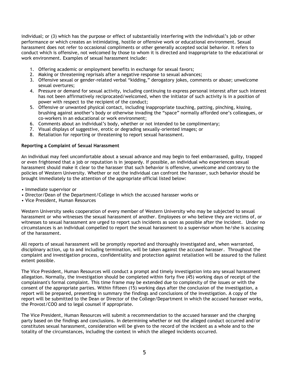individual; or (3) which has the purpose or effect of substantially interfering with the individual's job or other performance or which creates an intimidating, hostile or offensive work or educational environment. Sexual harassment does not refer to occasional compliments or other generally accepted social behavior. It refers to conduct which is offensive, not welcomed by those to whom it is directed and inappropriate to the educational or work environment. Examples of sexual harassment include:

- 1. Offering academic or employment benefits in exchange for sexual favors;
- 2. Making or threatening reprisals after a negative response to sexual advances;
- 3. Offensive sexual or gender-related verbal "kidding," derogatory jokes, comments or abuse; unwelcome sexual overtures;
- 4. Pressure or demand for sexual activity, including continuing to express personal interest after such interest has not been affirmatively reciprocated/welcomed, when the initiator of such activity is in a position of power with respect to the recipient of the conduct;
- 5. Offensive or unwanted physical contact, including inappropriate touching, patting, pinching, kissing, brushing against another's body or otherwise invading the "space" normally afforded one's colleagues, or co-workers in an educational or work environment;
- 6. Comments about an individual's body, whether or not intended to be complimentary;
- 7. Visual displays of suggestive, erotic or degrading sexually-oriented images; or
- 8. Retaliation for reporting or threatening to report sexual harassment.

#### **Reporting a Complaint of Sexual Harassment**

An individual may feel uncomfortable about a sexual advance and may begin to feel embarrassed, guilty, trapped or even frightened that a job or reputation is in jeopardy. If possible, an individual who experiences sexual harassment should make it clear to the harasser that such behavior is offensive, unwelcome and contrary to the policies of Western University. Whether or not the individual can confront the harasser, such behavior should be brought immediately to the attention of the appropriate official listed below:

- Immediate supervisor or
- Director/Dean of the Department/College in which the accused harasser works or
- Vice President, Human Resources

Western University seeks cooperation of every member of Western University who may be subjected to sexual harassment or who witnesses the sexual harassment of another. Employees or who believe they are victims of, or witnesses to sexual harassment are urged to report such incidents as soon as possible after the incident. Under no circumstances is an individual compelled to report the sexual harassment to a supervisor whom he/she is accusing of the harassment.

All reports of sexual harassment will be promptly reported and thoroughly investigated and, when warranted, disciplinary action, up to and including termination, will be taken against the accused harasser. Throughout the complaint and investigation process, confidentiality and protection against retaliation will be assured to the fullest extent possible.

The Vice President, Human Resources will conduct a prompt and timely investigation into any sexual harassment allegation. Normally, the investigation should be completed within forty five (45) working days of receipt of the complainant's formal complaint. This time frame may be extended due to complexity of the issues or with the consent of the appropriate parties. Within fifteen (15) working days after the conclusion of the investigation, a report will be prepared, presenting in summary the findings and conclusions of the investigation. A copy of the report will be submitted to the Dean or Director of the College/Department in which the accused harasser works, the Provost/COO and to legal counsel if appropriate.

The Vice President, Human Resources will submit a recommendation to the accused harasser and the charging party based on the findings and conclusions. In determining whether or not the alleged conduct occurred and/or constitutes sexual harassment, consideration will be given to the record of the incident as a whole and to the totality of the circumstances, including the context in which the alleged incidents occurred.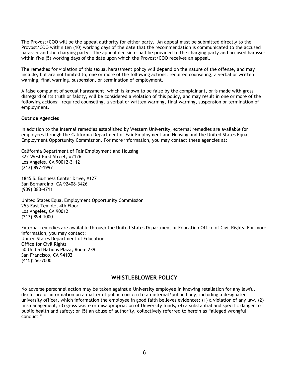The Provost/COO will be the appeal authority for either party. An appeal must be submitted directly to the Provost/COO within ten (10) working days of the date that the recommendation is communicated to the accused harasser and the charging party. The appeal decision shall be provided to the charging party and accused harasser within five (5) working days of the date upon which the Provost/COO receives an appeal.

The remedies for violation of this sexual harassment policy will depend on the nature of the offense, and may include, but are not limited to, one or more of the following actions: required counseling, a verbal or written warning, final warning, suspension, or termination of employment.

A false complaint of sexual harassment, which is known to be false by the complainant, or is made with gross disregard of its truth or falsity, will be considered a violation of this policy, and may result in one or more of the following actions: required counseling, a verbal or written warning, final warning, suspension or termination of employment.

#### **Outside Agencies**

In addition to the internal remedies established by Western University, external remedies are available for employees through the California Department of Fair Employment and Housing and the United States Equal Employment Opportunity Commission. For more information, you may contact these agencies at:

California Department of Fair Employment and Housing 322 West First Street, #2126 Los Angeles, CA 90012-3112 (213) 897-1997

1845 S. Business Center Drive, #127 San Bernardino, CA 92408-3426 (909) 383-4711

United States Equal Employment Opportunity Commission 255 East Temple, 4th Floor Los Angeles, CA 90012 (213) 894-1000

External remedies are available through the United States Department of Education Office of Civil Rights. For more information, you may contact: United States Department of Education Office for Civil Rights 50 United Nations Plaza, Room 239 San Francisco, CA 94102 (415)556-7000

# **WHISTLEBLOWER POLICY**

No adverse personnel action may be taken against a University employee in knowing retaliation for any lawful disclosure of information on a matter of public concern to an internal/public body, including a designated university officer, which information the employee in good faith believes evidences: (1) a violation of any law, (2) mismanagement, (3) gross waste or misappropriation of University funds, (4) a substantial and specific danger to public health and safety; or (5) an abuse of authority, collectively referred to herein as "alleged wrongful conduct."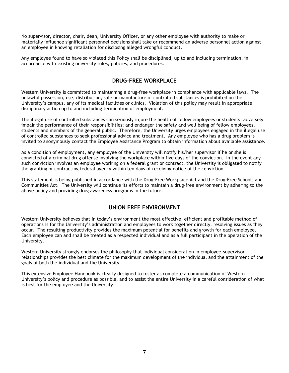No supervisor, director, chair, dean, University Officer, or any other employee with authority to make or materially influence significant personnel decisions shall take or recommend an adverse personnel action against an employee in knowing retaliation for disclosing alleged wrongful conduct.

Any employee found to have so violated this Policy shall be disciplined, up to and including termination, in accordance with existing university rules, policies, and procedures.

# **DRUG-FREE WORKPLACE**

Western University is committed to maintaining a drug-free workplace in compliance with applicable laws. The unlawful possession, use, distribution, sale or manufacture of controlled substances is prohibited on the University's campus, any of its medical facilities or clinics. Violation of this policy may result in appropriate disciplinary action up to and including termination of employment.

The illegal use of controlled substances can seriously injure the health of fellow employees or students; adversely impair the performance of their responsibilities; and endanger the safety and well being of fellow employees, students and members of the general public. Therefore, the University urges employees engaged in the illegal use of controlled substances to seek professional advice and treatment. Any employee who has a drug problem is invited to anonymously contact the Employee Assistance Program to obtain information about available assistance.

As a condition of employment, any employee of the University will notify his/her supervisor if he or she is convicted of a criminal drug offense involving the workplace within five days of the conviction. In the event any such conviction involves an employee working on a federal grant or contract, the University is obligated to notify the granting or contracting federal agency within ten days of receiving notice of the conviction.

This statement is being published in accordance with the Drug-Free Workplace Act and the Drug-Free Schools and Communities Act. The University will continue its efforts to maintain a drug-free environment by adhering to the above policy and providing drug awareness programs in the future.

# **UNION FREE ENVIRONMENT**

Western University believes that in today's environment the most effective, efficient and profitable method of operations is for the University's administration and employees to work together directly, resolving issues as they occur. The resulting productivity provides the maximum potential for benefits and growth for each employee. Each employee can and shall be treated as a respected individual and as a full participant in the operation of the University.

Western University strongly endorses the philosophy that individual consideration in employee-supervisor relationships provides the best climate for the maximum development of the individual and the attainment of the goals of both the individual and the University.

This extensive Employee Handbook is clearly designed to foster as complete a communication of Western University's policy and procedure as possible, and to assist the entire University in a careful consideration of what is best for the employee and the University.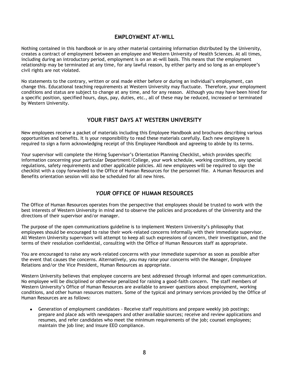# **EMPLOYMENT AT-WILL**

Nothing contained in this handbook or in any other material containing information distributed by the University, creates a contract of employment between an employee and Western University of Health Sciences. At all times, including during an introductory period, employment is on an at-will basis. This means that the employment relationship may be terminated at any time, for any lawful reason, by either party and so long as an employee's civil rights are not violated.

No statements to the contrary, written or oral made either before or during an individual's employment, can change this. Educational teaching requirements at Western University may fluctuate. Therefore, your employment conditions and status are subject to change at any time, and for any reason. Although you may have been hired for a specific position, specified hours, days, pay, duties, etc., all of these may be reduced, increased or terminated by Western University.

# **YOUR FIRST DAYS AT WESTERN UNIVERSITY**

New employees receive a packet of materials including this Employee Handbook and brochures describing various opportunities and benefits. It is your responsibility to read these materials carefully. Each new employee is required to sign a form acknowledging receipt of this Employee Handbook and agreeing to abide by its terms.

Your supervisor will complete the [Hiring Supervisor's Orientation Planning Checklist](http://stage/intrabin/hr/Orientation%20Planning%20Checklist%20for%20Hiring%20Supervisors.doc), which provides specific information concerning your particular Department/College, your work schedule, working conditions, any special regulations, safety requirements and other applicable policies. All new employees will be required to sign the checklist with a copy forwarded to the Office of Human Resources for the personnel file. A Human Resources and Benefits orientation session will also be scheduled for all new hires.

# *YOUR* **OFFICE OF HUMAN RESOURCES**

The Office of Human Resources operates from the perspective that employees should be trusted to work with the best interests of Western University in mind and to observe the policies and procedures of the University and the directions of their supervisor and/or manager.

The purpose of the open communications guideline is to implement Western University's philosophy that employees should be encouraged to raise their work-related concerns informally with their immediate supervisor. All Western University supervisors will attempt to keep all such expressions of concern, their investigation, and the terms of their resolution confidential, consulting with the Office of Human Resources staff as appropriate.

You are encouraged to raise any work-related concerns with your immediate supervisor as soon as possible after the event that causes the concerns. Alternatively, you may raise your concerns with the Manager, Employee Relations and/or the Vice President, Human Resources as appropriate.

Western University believes that employee concerns are best addressed through informal and open communication. No employee will be disciplined or otherwise penalized for raising a good-faith concern. The staff members of Western University's Office of Human Resources are available to answer questions about employment, working conditions, and other human resources matters. Some of the typical and primary services provided by the Office of Human Resources are as follows:

 $\bullet$ Generation of employment candidates - Receive staff requisitions and prepare weekly job postings; prepare and place ads with newspapers and other available sources; receive and review applications and resumes, and refer candidates who meet the minimum requirements of the job; counsel employees; maintain the job line; and insure EEO compliance.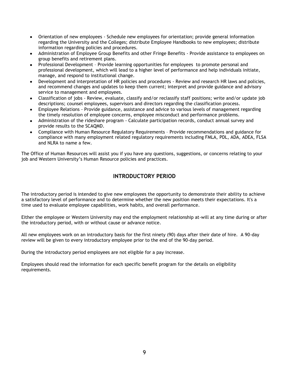- Orientation of new employees Schedule new employees for orientation; provide general information  $\bullet$ regarding the University and the Colleges; distribute Employee Handbooks to new employees; distribute information regarding policies and procedures.
- Administration of Employee Group Benefits and other Fringe Benefits Provide assistance to employees on group benefits and retirement plans.
- Professional Development Provide learning opportunities for employees to promote personal and professional development, which will lead to a higher level of performance and help individuals initiate, manage, and respond to institutional change.
- Development and interpretation of HR policies and procedures Review and research HR laws and policies,  $\bullet$ and recommend changes and updates to keep them current; interpret and provide guidance and advisory service to management and employees.
- Classification of jobs Review, evaluate, classify and/or reclassify staff positions; write and/or update job descriptions; counsel employees, supervisors and directors regarding the classification process.
- Employee Relations Provide guidance, assistance and advice to various levels of management regarding the timely resolution of employee concerns, employee misconduct and performance problems.
- Administration of the rideshare program Calculate participation records, conduct annual survey and provide results to the SCAQMD.
- Compliance with Human Resource Regulatory Requirements Provide recommendations and guidance for compliance with many employment related regulatory requirements including FMLA, PDL, ADA, ADEA, FLSA and NLRA to name a few.

The Office of Human Resources will assist you if you have any questions, suggestions, or concerns relating to your job and Western University's Human Resource policies and practices.

# **INTRODUCTORY PERIOD**

The introductory period is intended to give new employees the opportunity to demonstrate their ability to achieve a satisfactory level of performance and to determine whether the new position meets their expectations. It's a time used to evaluate employee capabilities, work habits, and overall performance.

Either the employee or Western University may end the employment relationship at-will at any time during or after the introductory period, with or without cause or advance notice.

All new employees work on an introductory basis for the first ninety (90) days after their date of hire. A 90-day review will be given to every introductory employee prior to the end of the 90-day period.

During the introductory period employees are not eligible for a pay increase.

Employees should read the information for each specific benefit program for the details on eligibility requirements.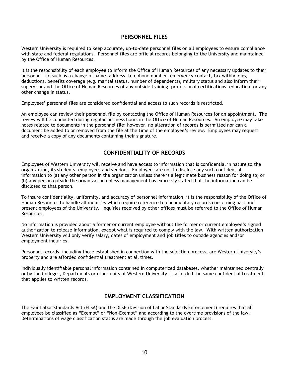## **PERSONNEL FILES**

Western University is required to keep accurate, up-to-date personnel files on all employees to ensure compliance with state and federal regulations. Personnel files are official records belonging to the University and maintained by the Office of Human Resources.

It is the responsibility of each employee to inform the Office of Human Resources of any necessary updates to their personnel file such as a change of name, address, telephone number, emergency contact, tax withholding deductions, benefits coverage (e.g. marital status, number of dependents), military status and also inform their supervisor and the Office of Human Resources of any outside training, professional certifications, education, or any other change in status.

Employees' personnel files are considered confidential and access to such records is restricted.

An employee can review their personnel file by contacting the Office of Human Resources for an appointment. The review will be conducted during regular business hours in the Office of Human Resources. An employee may take notes related to documents in the personnel file; however, no alteration of records is permitted nor can a document be added to or removed from the file at the time of the employee's review. Employees may request and receive a copy of any documents containing their signature.

# **CONFIDENTIALITY OF RECORDS**

Employees of Western University will receive and have access to information that is confidential in nature to the organization, its students, employees and vendors. Employees are not to disclose any such confidential information to (a) any other person in the organization unless there is a legitimate business reason for doing so; or (b) any person outside the organization unless management has expressly stated that the information can be disclosed to that person.

To insure confidentiality, uniformity, and accuracy of personnel information, it is the responsibility of the Office of Human Resources to handle all inquiries which require reference to documentary records concerning past and present employees of the University. Inquiries received by other offices must be referred to the Office of Human Resources.

No information is provided about a former or current employee without the former or current employee's signed authorization to release information, except what is required to comply with the law. With written authorization Western University will only verify salary, dates of employment and job titles to outside agencies and/or employment inquiries.

Personnel records, including those established in connection with the selection process, are Western University's property and are afforded confidential treatment at all times.

Individually identifiable personal information contained in computerized databases, whether maintained centrally or by the Colleges, Departments or other units of Western University, is afforded the same confidential treatment that applies to written records.

# **EMPLOYMENT CLASSIFICATION**

The Fair Labor Standards Act (FLSA) and the DLSE (Division of Labor Standards Enforcement) requires that all employees be classified as "Exempt" or "Non-Exempt" and according to the overtime provisions of the law. Determinations of wage classification status are made through the job evaluation process.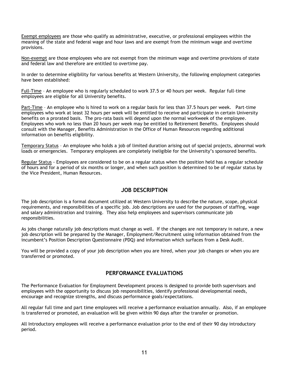Exempt employees are those who qualify as administrative, executive, or professional employees within the meaning of the state and federal wage and hour laws and are exempt from the minimum wage and overtime provisions.

Non-exempt are those employees who are not exempt from the minimum wage and overtime provisions of state and federal law and therefore are entitled to overtime pay.

In order to determine eligibility for various benefits at Western University, the following employment categories have been established:

Full-Time – An employee who is regularly scheduled to work 37.5 or 40 hours per week. Regular full-time employees are eligible for all University benefits.

Part-Time – An employee who is hired to work on a regular basis for less than 37.5 hours per week. Part-time employees who work at least 32 hours per week will be entitled to receive and participate in certain University benefits on a prorated basis. The pro-rata basis will depend upon the normal workweek of the employee. Employees who work no less than 20 hours per week may be entitled to Retirement Benefits. Employees should consult with the Manager, Benefits Administration in the Office of Human Resources regarding additional information on benefits eligibility.

Temporary Status – An employee who holds a job of limited duration arising out of special projects, abnormal work loads or emergencies. Temporary employees are completely ineligible for the University's sponsored benefits.

Regular Status - Employees are considered to be on a regular status when the position held has a regular schedule of hours and for a period of six months or longer, and when such position is determined to be of regular status by the Vice President, Human Resources.

# **JOB DESCRIPTION**

The job description is a formal document utilized at Western University to describe the nature, scope, physical requirements, and responsibilities of a specific job. Job descriptions are used for the purposes of staffing, wage and salary administration and training. They also help employees and supervisors communicate job responsibilities.

As jobs change naturally job descriptions must change as well. If the changes are not temporary in nature, a new job description will be prepared by the Manager, Employment/Recruitment using information obtained from the incumbent's Position Description Questionnaire (PDQ) and information which surfaces from a Desk Audit.

You will be provided a copy of your job description when you are hired, when your job changes or when you are transferred or promoted.

# **PERFORMANCE EVALUATIONS**

The Performance Evaluation for Employment Development process is designed to provide both supervisors and employees with the opportunity to discuss job responsibilities, identify professional developmental needs, encourage and recognize strengths, and discuss performance goals/expectations.

All regular full time and part time employees will receive a performance evaluation annually. Also, if an employee is transferred or promoted, an evaluation will be given within 90 days after the transfer or promotion.

All Introductory employees will receive a performance evaluation prior to the end of their 90 day introductory period.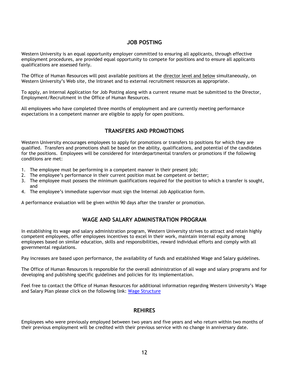# **JOB POSTING**

Western University is an equal opportunity employer committed to ensuring all applicants, through effective employment procedures, are provided equal opportunity to compete for positions and to ensure all applicants qualifications are assessed fairly.

The Office of Human Resources will post available positions at the director level and below simultaneously, on Western University's Web site, the Intranet and to external recruitment resources as appropriate.

To apply, an Internal Application for Job Posting along with a current resume must be submitted to the Director, Employment/Recruitment in the Office of Human Resources.

All employees who have completed three months of employment and are currently meeting performance expectations in a competent manner are eligible to apply for open positions.

# **TRANSFERS AND PROMOTIONS**

Western University encourages employees to apply for promotions or transfers to positions for which they are qualified. Transfers and promotions shall be based on the ability, qualifications, and potential of the candidates for the positions. Employees will be considered for interdepartmental transfers or promotions if the following conditions are met:

- 1. The employee must be performing in a competent manner in their present job;
- 2. The employee's performance in their current position must be competent or better;
- 3. The employee must possess the minimum qualifications required for the position to which a transfer is sought, and
- 4. The employee's immediate supervisor must sign the Internal Job Application form.

A performance evaluation will be given within 90 days after the transfer or promotion.

# **WAGE AND SALARY ADMINISTRATION PROGRAM**

In establishing its wage and salary administration program, Western University strives to attract and retain highly competent employees, offer employees incentives to excel in their work, maintain internal equity among employees based on similar education, skills and responsibilities, reward individual efforts and comply with all governmental regulations.

Pay increases are based upon performance, the availability of funds and established Wage and Salary guidelines.

The Office of Human Resources is responsible for the overall administration of all wage and salary programs and for developing and publishing specific guidelines and policies for its implementation.

Feel free to contact the Office of Human Resources for additional information regarding Western University's Wage and Salary Plan please click on the following link: [Wage Structure](http://www.westernu.edu/xp/edu/hr/hr-wage-structure.xml)

# **REHIRES**

Employees who were previously employed between two years and five years and who return within two months of their previous employment will be credited with their previous service with no change in anniversary date.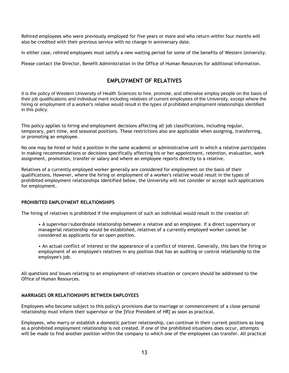Rehired employees who were previously employed for five years or more and who return within four months will also be credited with their previous service with no change in anniversary date.

In either case, rehired employees must satisfy a new waiting period for some of the benefits of Western University.

Please contact the Director, Benefit Administration in the Office of Human Resources for additional information.

# **EMPLOYMENT OF RELATIVES**

It is the policy of Western University of Health Sciences to hire, promote, and otherwise employ people on the basis of their job qualifications and individual merit including relatives of current employees of the University, except where the hiring or employment of a worker's relative would result in the types of prohibited employment relationships identified in this policy.

This policy applies to hiring and employment decisions affecting all job classifications, including regular, temporary, part-time, and seasonal positions. These restrictions also are applicable when assigning, transferring, or promoting an employee.

No one may be hired or hold a position in the same academic or administrative unit in which a relative participates in making recommendations or decisions specifically affecting his or her appointment, retention, evaluation, work assignment, promotion, transfer or salary and where an employee reports directly to a relative.

Relatives of a currently employed worker generally are considered for employment on the basis of their qualifications. However, where the hiring or employment of a worker's relative would result in the types of prohibited employment relationships identified below, the University will not consider or accept such applications for employment.

#### **PROHIBITED EMPLOYMENT RELATIONSHIPS**

The hiring of relatives is prohibited if the employment of such an individual would result in the creation of:

- A supervisor/subordinate relationship between a relative and an employee. If a direct supervisory or managerial relationship would be established, relatives of a currently employed worker cannot be considered as applicants for an open position.
- An actual conflict of interest or the appearance of a conflict of interest. Generally, this bars the hiring or employment of an employee's relatives in any position that has an auditing or control relationship to the employee's job.

All questions and issues relating to an employment-of-relatives situation or concern should be addressed to the Office of Human Resources.

#### **MARRIAGES OR RELATIONSHIPS BETWEEN EMPLOYEES**

Employees who become subject to this policy's provisions due to marriage or commencement of a close personal relationship must inform their supervisor or the [Vice President of HR] as soon as practical.

Employees, who marry or establish a domestic partner relationship, can continue in their current positions as long as a prohibited employment relationship is not created. If one of the prohibited situations does occur, attempts will be made to find another position within the company to which one of the employees can transfer. All practical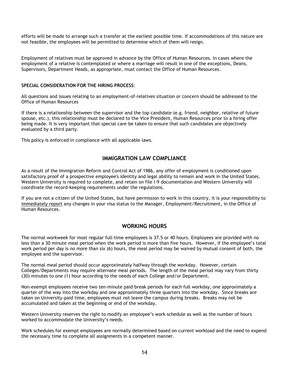efforts will be made to arrange such a transfer at the earliest possible time. If accommodations of this nature are not feasible, the employees will be permitted to determine which of them will resign.

Employment of relatives must be approved in advance by the Office of Human Resources. In cases where the employment of a relative is contemplated or where a marriage will result in one of the exceptions, Deans, Supervisors, Department Heads, as appropriate, must contact the Office of Human Resources.

#### **SPECIAL CONSIDERATION FOR THE HIRING PROCESS**:

All questions and issues relating to an employment-of-relatives situation or concern should be addressed to the Office of Human Resources

If there is a relationship between the supervisor and the top candidate (e.g. friend, neighbor, relative of future spouse, etc.), this relationship must be declared to the Vice President, Human Resources prior to a hiring offer being made. It is very important that special care be taken to ensure that such candidates are objectively evaluated by a third party.

This policy is enforced in compliance with all applicable laws.

# **IMMIGRATION LAW COMPLIANCE**

As a result of the Immigration Reform and Control Act of 1986, any offer of employment is conditioned upon satisfactory proof of a prospective employee's identity and legal ability to remain and work in the United States. Western University is required to complete, and retain on file I-9 documentation and Western University will coordinate the record-keeping requirements under the regulations.

If you are not a citizen of the United States, but have permission to work in this country, it is your responsibility to immediately report any changes in your visa status to the Manager, Employment/Recruitment, in the Office of Human Resources.

# **WORKING HOURS**

The normal workweek for most regular full-time employees is 37.5 or 40 hours. Employees are provided with no less than a 30 minute meal period when the work period is more than five hours. However, if the employee's total work period per day is no more than six (6) hours, the meal period may be waived by mutual consent of both, the employee and the supervisor.

The normal meal period should occur approximately halfway through the workday. However, certain Colleges/Departments may require alternate meal periods. The length of the meal period may vary from thirty (30) minutes to one (1) hour according to the needs of each College and/or Department.

Non-exempt employees receive two ten-minute paid break periods for each full workday, one approximately a quarter of the way into the workday and one approximately three quarters into the workday. Since breaks are taken on University-paid time, employees must not leave the campus during breaks. Breaks may not be accumulated and taken at the beginning or end of the workday.

Western University reserves the right to modify an employee's work schedule as well as the number of hours worked to accommodate the University's needs.

Work schedules for exempt employees are normally determined based on current workload and the need to expend the necessary time to complete all assignments in a competent manner.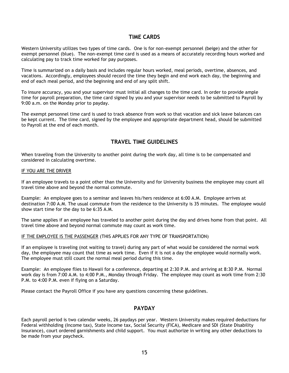# **TIME CARDS**

Western University utilizes two types of time cards. One is for non-exempt personnel (beige) and the other for exempt personnel (blue). The non-exempt time card is used as a means of accurately recording hours worked and calculating pay to track time worked for pay purposes.

Time is summarized on a daily basis and includes regular hours worked, meal periods, overtime, absences, and vacations. Accordingly, employees should record the time they begin and end work each day, the beginning and end of each meal period, and the beginning and end of any split shift.

To insure accuracy, you and your supervisor must initial all changes to the time card. In order to provide ample time for payroll preparation, the time card signed by you and your supervisor needs to be submitted to Payroll by 9:00 a.m. on the Monday prior to payday.

The exempt personnel time card is used to track absence from work so that vacation and sick leave balances can be kept current. The time card, signed by the employee and appropriate department head, should be submitted to Payroll at the end of each month.

# **TRAVEL TIME GUIDELINES**

When traveling from the University to another point during the work day, all time is to be compensated and considered in calculating overtime.

#### IF YOU ARE THE DRIVER

If an employee travels to a point other than the University and for University business the employee may count all travel time above and beyond the normal commute.

Example: An employee goes to a seminar and leaves his/hers residence at 6:00 A.M. Employee arrives at destination 7:00 A.M. The usual commute from the residence to the University is 35 minutes. The employee would show start time for the day to be 6:35 A.M.

The same applies if an employee has traveled to another point during the day and drives home from that point. All travel time above and beyond normal commute may count as work time.

#### IF THE EMPLOYEE IS THE PASSENGER (THIS APPLIES FOR ANY TYPE OF TRANSPORTATION)

If an employee is traveling (not waiting to travel) during any part of what would be considered the normal work day, the employee may count that time as work time. Even if it is not a day the employee would normally work. The employee must still count the normal meal period during this time.

Example: An employee flies to Hawaii for a conference, departing at 2:30 P.M. and arriving at 8:30 P.M. Normal work day is from 7:00 A.M. to 4:00 P.M., Monday through Friday. The employee may count as work time from 2:30 P.M. to 4:00 P.M. even if flying on a Saturday.

Please contact the Payroll Office if you have any questions concerning these guidelines.

# **PAYDAY**

Each payroll period is two calendar weeks, 26 paydays per year. Western University makes required deductions for Federal withholding (Income tax), State Income tax, Social Security (FICA), Medicare and SDI (State Disability Insurance), court ordered garnishments and child support. You must authorize in writing any other deductions to be made from your paycheck.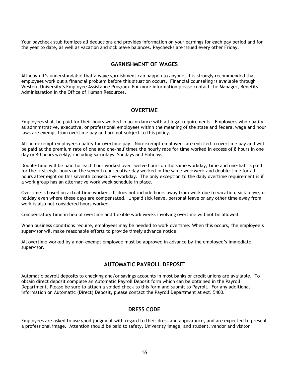Your paycheck stub itemizes all deductions and provides information on your earnings for each pay period and for the year to date, as well as vacation and sick leave balances. Paychecks are issued every other Friday.

# **GARNISHMENT OF WAGES**

Although it's understandable that a wage garnishment can happen to anyone, it is strongly recommended that employees work out a financial problem before this situation occurs. Financial counseling is available through Western University's Employee Assistance Program. For more information please contact the Manager, Benefits Administration in the Office of Human Resources.

# **OVERTIME**

Employees shall be paid for their hours worked in accordance with all legal requirements. Employees who qualify as administrative, executive, or professional employees within the meaning of the state and federal wage and hour laws are exempt from overtime pay and are not subject to this policy.

All non-exempt employees qualify for overtime pay. Non-exempt employees are entitled to overtime pay and will be paid at the premium rate of one and one-half times the hourly rate for time worked in excess of 8 hours in one day or 40 hours weekly, including Saturdays, Sundays and Holidays.

Double-time will be paid for each hour worked over twelve hours on the same workday; time and one-half is paid for the first eight hours on the seventh consecutive day worked in the same workweek and double-time for all hours after eight on this seventh consecutive workday. The only exception to the daily overtime requirement is if a work group has an alternative work week schedule in place.

Overtime is based on actual time worked. It does not include hours away from work due to vacation, sick leave, or holiday even where these days are compensated. Unpaid sick leave, personal leave or any other time away from work is also not considered hours worked.

Compensatory time in lieu of overtime and flexible work weeks involving overtime will not be allowed.

When business conditions require, employees may be needed to work overtime. When this occurs, the employee's supervisor will make reasonable efforts to provide timely advance notice.

All overtime worked by a non-exempt employee must be approved in advance by the employee's immediate supervisor.

# **AUTOMATIC PAYROLL DEPOSIT**

Automatic payroll deposits to checking and/or savings accounts in most banks or credit unions are available. To obtain direct deposit complete an Automatic Payroll Deposit form which can be obtained in the Payroll Department. Please be sure to attach a voided check to this form and submit to Payroll. For any additional information on Automatic (Direct) Deposit, please contact the Payroll Department at ext. 5400.

# **DRESS CODE**

Employees are asked to use good judgment with regard to their dress and appearance, and are expected to present a professional image. Attention should be paid to safety, University image, and student, vendor and visitor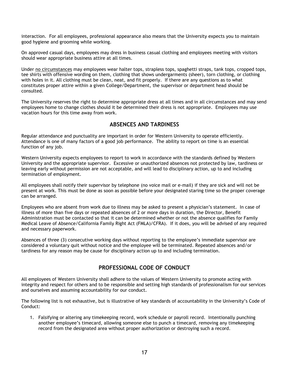interaction. For all employees, professional appearance also means that the University expects you to maintain good hygiene and grooming while working.

On approved casual days, employees may dress in business casual clothing and employees meeting with visitors should wear appropriate business attire at all times.

Under no circumstances may employees wear halter tops, strapless tops, spaghetti straps, tank tops, cropped tops, tee shirts with offensive wording on them, clothing that shows undergarments (sheer), torn clothing, or clothing with holes in it. All clothing must be clean, neat, and fit properly. If there are any questions as to what constitutes proper attire within a given College/Department, the supervisor or department head should be consulted.

The University reserves the right to determine appropriate dress at all times and in all circumstances and may send employees home to change clothes should it be determined their dress is not appropriate. Employees may use vacation hours for this time away from work.

# **ABSENCES AND TARDINESS**

Regular attendance and punctuality are important in order for Western University to operate efficiently. Attendance is one of many factors of a good job performance. The ability to report on time is an essential function of any job.

Western University expects employees to report to work in accordance with the standards defined by Western University and the appropriate supervisor. Excessive or unauthorized absences not protected by law, tardiness or leaving early without permission are not acceptable, and will lead to disciplinary action, up to and including termination of employment.

All employees shall notify their supervisor by telephone (no voice mail or e-mail) if they are sick and will not be present at work. This must be done as soon as possible before your designated staring time so the proper coverage can be arranged.

Employees who are absent from work due to illness may be asked to present a physician's statement. In case of illness of more than five days or repeated absences of 2 or more days in duration, the Director, Benefit Administration must be contacted so that it can be determined whether or not the absence qualifies for Family Medical Leave of Absence/California Family Right Act (FMLA)/CFRA). If it does, you will be advised of any required and necessary paperwork.

Absences of three (3) consecutive working days without reporting to the employee's immediate supervisor are considered a voluntary quit without notice and the employee will be terminated. Repeated absences and/or tardiness for any reason may be cause for disciplinary action up to and including termination.

# **PROFESSIONAL CODE OF CONDUCT**

All employees of Western University shall adhere to the values of Western University to promote acting with integrity and respect for others and to be responsible and setting high standards of professionalism for our services and ourselves and assuming accountability for our conduct.

The following list is not exhaustive, but is illustrative of key standards of accountability in the University's Code of Conduct:

1. Falsifying or altering any timekeeping record, work schedule or payroll record. Intentionally punching another employee's timecard, allowing someone else to punch a timecard, removing any timekeeping record from the designated area without proper authorization or destroying such a record.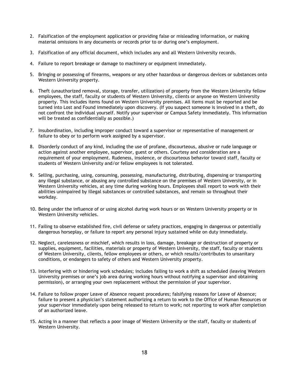- 2. Falsification of the employment application or providing false or misleading information, or making material omissions in any documents or records prior to or during one's employment.
- 3. Falsification of any official document, which includes any and all Western University records.
- 4. Failure to report breakage or damage to machinery or equipment immediately.
- 5. Bringing or possessing of firearms, weapons or any other hazardous or dangerous devices or substances onto Western University property.
- 6. Theft (unauthorized removal, storage, transfer, utilization) of property from the Western University fellow employees, the staff, faculty or students of Western University, clients or anyone on Western University property. This includes items found on Western University premises. All items must be reported and be turned into Lost and Found immediately upon discovery. (If you suspect someone is involved in a theft, do not confront the individual yourself. Notify your supervisor or Campus Safety immediately. This information will be treated as confidentially as possible.)
- 7. Insubordination, including improper conduct toward a supervisor or representative of management or failure to obey or to perform work assigned by a supervisor.
- 8. Disorderly conduct of any kind, including the use of profane, discourteous, abusive or rude language or action against another employee, supervisor, guest or others. Courtesy and consideration are a requirement of your employment. Rudeness, insolence, or discourteous behavior toward staff, faculty or students of Western University and/or fellow employees is not tolerated.
- 9. Selling, purchasing, using, consuming, possessing, manufacturing, distributing, dispensing or transporting any illegal substance, or abusing any controlled substance on the premises of Western University, or in Western University vehicles, at any time during working hours. Employees shall report to work with their abilities unimpaired by illegal substances or controlled substances, and remain so throughout their workday.
- 10. Being under the influence of or using alcohol during work hours or on Western University property or in Western University vehicles.
- 11. Failing to observe established fire, civil defense or safety practices, engaging in dangerous or potentially dangerous horseplay, or failure to report any personal injury sustained while on duty immediately.
- 12. Neglect, carelessness or mischief, which results in loss, damage, breakage or destruction of property or supplies, equipment, facilities, materials or property of Western University, the staff, faculty or students of Western University, clients, fellow employees or others, or which results/contributes to unsanitary conditions, or endangers to safety of others and Western University property.
- 13. Interfering with or hindering work schedules; includes failing to work a shift as scheduled (leaving Western University premises or one's job area during working hours without notifying a supervisor and obtaining permission), or arranging your own replacement without the permission of your supervisor.
- 14. Failure to follow proper Leave of Absence request procedures; falsifying reasons for Leave of Absence; failure to present a physician's statement authorizing a return to work to the Office of Human Resources or your supervisor immediately upon being released to return to work; not reporting to work after completion of an authorized leave.
- 15. Acting in a manner that reflects a poor image of Western University or the staff, faculty or students of Western University.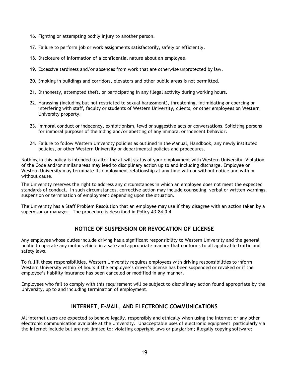- 16. Fighting or attempting bodily injury to another person.
- 17. Failure to perform job or work assignments satisfactorily, safely or efficiently.
- 18. Disclosure of information of a confidential nature about an employee.
- 19. Excessive tardiness and/or absences from work that are otherwise unprotected by law.
- 20. Smoking in buildings and corridors, elevators and other public areas is not permitted.
- 21. Dishonesty, attempted theft, or participating in any illegal activity during working hours.
- 22. Harassing (including but not restricted to sexual harassment), threatening, intimidating or coercing or interfering with staff, faculty or students of Western University, clients, or other employees on Western University property.
- 23. Immoral conduct or indecency, exhibitionism, lewd or suggestive acts or conversations. Soliciting persons for immoral purposes of the aiding and/or abetting of any immoral or indecent behavior**.**
- 24. Failure to follow Western University policies as outlined in the Manual, Handbook, any newly instituted policies, or other Western University or departmental policies and procedures.

Nothing in this policy is intended to alter the at-will status of your employment with Western University. Violation of the Code and/or similar areas may lead to disciplinary action up to and including discharge. Employee or Western University may terminate its employment relationship at any time with or without notice and with or without cause.

The University reserves the right to address any circumstances in which an employee does not meet the expected standards of conduct. In such circumstances, corrective action may include counseling, verbal or written warnings, suspension or termination of employment depending upon the situation.

The University has a Staff Problem Resolution that an employee may use if they disagree with an action taken by a supervisor or manager. The procedure is described in Policy A3.84.0.4

# **NOTICE OF SUSPENSION OR REVOCATION OF LICENSE**

Any employee whose duties include driving has a significant responsibility to Western University and the general public to operate any motor vehicle in a safe and appropriate manner that conforms to all applicable traffic and safety laws.

To fulfill these responsibilities, Western University requires employees with driving responsibilities to inform Western University within 24 hours if the employee's driver's license has been suspended or revoked or if the employee's liability insurance has been canceled or modified in any manner.

Employees who fail to comply with this requirement will be subject to disciplinary action found appropriate by the University, up to and including termination of employment.

# **INTERNET, E-MAIL, AND ELECTRONIC COMMUNICATIONS**

All internet users are expected to behave legally, responsibly and ethically when using the Internet or any other electronic communication available at the University. Unacceptable uses of electronic equipment particularly via the Internet include but are not limited to: violating copyright laws or plagiarism; illegally copying software;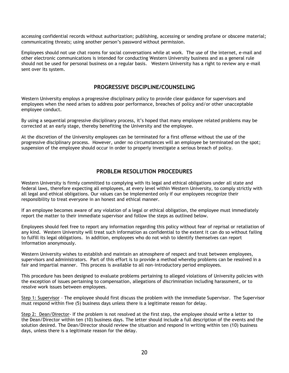accessing confidential records without authorization; publishing, accessing or sending profane or obscene material; communicating threats; using another person's password without permission.

Employees should not use chat rooms for social conversations while at work. The use of the internet, e-mail and other electronic communications is intended for conducting Western University business and as a general rule should not be used for personal business on a regular basis. Western University has a right to review any e-mail sent over its system.

# **PROGRESSIVE DISCIPLINE/COUNSELING**

Western University employs a progressive disciplinary policy to provide clear guidance for supervisors and employees when the need arises to address poor performance, breaches of policy and/or other unacceptable employee conduct.

By using a sequential progressive disciplinary process, it's hoped that many employee related problems may be corrected at an early stage, thereby benefiting the University and the employee.

At the discretion of the University employees can be terminated for a first offense without the use of the progressive disciplinary process. However, under no circumstances will an employee be terminated on the spot; suspension of the employee should occur in order to properly investigate a serious breach of policy.

# **PROBLEM RESOLUTION PROCEDURES**

Western University is firmly committed to complying with its legal and ethical obligations under all state and federal laws, therefore expecting all employees, at every level within Western University, to comply strictly with all legal and ethical obligations. Our values can be implemented only if our employees recognize their responsibility to treat everyone in an honest and ethical manner.

If an employee becomes aware of any violation of a legal or ethical obligation, the employee must immediately report the matter to their immediate supervisor and follow the steps as outlined below.

Employees should feel free to report any information regarding this policy without fear of reprisal or retaliation of any kind. Western University will treat such information as confidential to the extent it can do so without failing to fulfill its legal obligations. In addition, employees who do not wish to identify themselves can report information anonymously.

Western University wishes to establish and maintain an atmosphere of respect and trust between employees, supervisors and administrators. Part of this effort is to provide a method whereby problems can be resolved in a fair and impartial manner. This process is available to all non-introductory period employees.

This procedure has been designed to evaluate problems pertaining to alleged violations of University policies with the exception of issues pertaining to compensation, allegations of discrimination including harassment, or to resolve work issues between employees.

Step 1: Supervisor – The employee should first discuss the problem with the immediate Supervisor. The Supervisor must respond within five (5) business days unless there is a legitimate reason for delay.

Step 2: Dean/Director- If the problem is not resolved at the first step, the employee should write a letter to the Dean/Director within ten (10) business days. The letter should include a full description of the events and the solution desired. The Dean/Director should review the situation and respond in writing within ten (10) business days, unless there is a legitimate reason for the delay.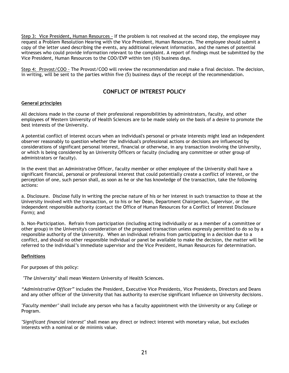Step 3: Vice President, Human Resources - If the problem is not resolved at the second step, the employee may request a Problem Resolution Hearing with the Vice President, Human Resources. The employee should submit a copy of the letter used describing the events, any additional relevant information, and the names of potential witnesses who could provide information relevant to the complaint. A report of findings must be submitted by the Vice President, Human Resources to the COO/EVP within ten (10) business days.

Step 4: Provost/COO - The Provost/COO will review the recommendation and make a final decision. The decision, in writing, will be sent to the parties within five (5) business days of the receipt of the recommendation.

# **CONFLICT OF INTEREST POLICY**

# **General principles**

All decisions made in the course of their professional responsibilities by administrators, faculty, and other employees of Western University of Health Sciences are to be made solely on the basis of a desire to promote the best interests of the University.

A potential conflict of interest occurs when an individual's personal or private interests might lead an independent observer reasonably to question whether the individual's professional actions or decisions are influenced by considerations of significant personal interest, financial or otherwise, in any transaction involving the University, or which is being considered by an University Officers or faculty (including any committee or other group of administrators or faculty).

In the event that an Administrative Officer, faculty member or other employee of the University shall have a significant financial, personal or professional interest that could potentially create a conflict of interest, or the perception of one, such person shall, as soon as he or she has knowledge of the transaction, take the following actions:

a. Disclosure. Disclose fully in writing the precise nature of his or her interest in such transaction to those at the University involved with the transaction, or to his or her Dean, Department Chairperson, Supervisor, or the independent responsible authority (contact the Office of Human Resources for a Conflict of Interest Disclosure Form); and

b. Non-Participation. Refrain from participation (including acting individually or as a member of a committee or other group) in the University's consideration of the proposed transaction unless expressly permitted to do so by a responsible authority of the University. When an individual refrains from participating in a decision due to a conflict, and should no other responsible individual or panel be available to make the decision, the matter will be referred to the individual's immediate supervisor and the Vice President, Human Resources for determination.

# **Definitions**

For purposes of this policy:

 *"The University"* shall mean Western University of Health Sciences.

*"Administrative Officer"* includes the President, Executive Vice Presidents, Vice Presidents, Directors and Deans and any other officer of the University that has authority to exercise significant influence on University decisions.

*"Faculty member"* shall include any person who has a faculty appointment with the University or any College or Program.

*"Significant financial interest"* shall mean any direct or indirect interest with monetary value, but excludes interests with a nominal or de minimis value.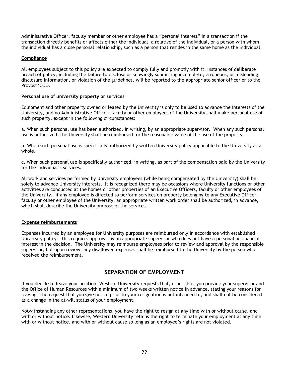Administrative Officer, faculty member or other employee has a "personal interest" in a transaction if the transaction directly benefits or affects either the individual, a relative of the individual, or a person with whom the individual has a close personal relationship, such as a person that resides in the same home as the individual.

#### **Compliance**

All employees subject to this policy are expected to comply fully and promptly with it. Instances of deliberate breach of policy, including the failure to disclose or knowingly submitting incomplete, erroneous, or misleading disclosure information, or violation of the guidelines, will be reported to the appropriate senior officer or to the Provost/COO.

#### **Personal use of university property or services**

Equipment and other property owned or leased by the University is only to be used to advance the interests of the University, and no Administrative Officer, faculty or other employees of the University shall make personal use of such property, except in the following circumstances:

a. When such personal use has been authorized, in writing, by an appropriate supervisor. When any such personal use is authorized, the University shall be reimbursed for the reasonable value of the use of the property.

b. When such personal use is specifically authorized by written University policy applicable to the University as a whole.

c. When such personal use is specifically authorized, in writing, as part of the compensation paid by the University for the individual's services.

All work and services performed by University employees (while being compensated by the University) shall be solely to advance University interests. It is recognized there may be occasions where University functions or other activities are conducted at the homes or other properties of an Executive Officers, faculty or other employees of the University. If any employee is directed to perform services on property belonging to any Executive Officer, faculty or other employee of the University, an appropriate written work order shall be authorized, in advance, which shall describe the University purpose of the services.

#### **Expense reimbursements**

Expenses incurred by an employee for University purposes are reimbursed only in accordance with established University policy. This requires approval by an appropriate supervisor who does not have a personal or financial interest in the decision. The University may reimburse employees prior to review and approval by the responsible supervisor, but upon review, any disallowed expenses shall be reimbursed to the University by the person who received the reimbursement.

# **SEPARATION OF EMPLOYMENT**

If you decide to leave your position, Western University requests that, if possible, you provide your supervisor and the Office of Human Resources with a minimum of two weeks written notice in advance, stating your reasons for leaving. The request that you give notice prior to your resignation is not intended to, and shall not be considered as a change in the at-will status of your employment.

Notwithstanding any other representations, you have the right to resign at any time with or without cause, and with or without notice. Likewise, Western University retains the right to terminate your employment at any time with or without notice, and with or without cause so long as an employee's rights are not violated.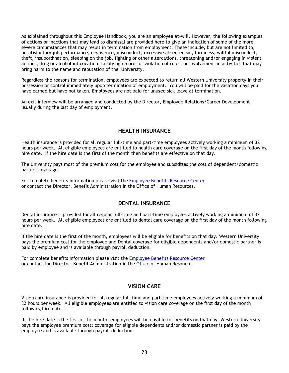As explained throughout this Employee Handbook, you are an employee at-will. However, the following examples of actions or inactions that may lead to dismissal are provided here to give an indication of some of the more severe circumstances that may result in termination from employment. These include, but are not limited to, unsatisfactory job performance, negligence, misconduct, excessive absenteeism, tardiness, willful misconduct, theft, insubordination, sleeping on the job, fighting or other altercations, threatening and/or engaging in violent actions, drug or alcohol intoxication, falsifying records or violation of rules, or involvement in activities that may bring harm to the name and reputation of the University.

Regardless the reasons for termination, employees are expected to return all Western University property in their possession or control immediately upon termination of employment. You will be paid for the vacation days you have earned but have not taken. Employees are not paid for unused sick leave at termination.

An exit interview will be arranged and conducted by the Director, Employee Relations/Career Development, usually during the last day of employment.

# **HEALTH INSURANCE**

Health insurance is provided for all regular full-time and part-time employees actively working a minimum of 32 hours per week. All eligible employees are entitled to health care coverage on the first day of the month following hire date. If the hire date is the first of the month then benefits are effective on that day.

The University pays most of the premium cost for the employee and subsidizes the cost of dependent/domestic partner coverage.

For complete benefits information please visit the [Employee Benefits Resource Center](http://hrportal.plansource.com/Hr/ABDConnect/main/eelogin/q1259.asp) or contact the Director, Benefit Administration in the Office of Human Resources.

# **DENTAL INSURANCE**

Dental insurance is provided for all regular full-time and part-time employees actively working a minimum of 32 hours per week. All eligible employees are entitled to dental care coverage on the first day of the month following hire date.

If the hire date is the first of the month, employees will be eligible for benefits on that day. Western University pays the premium cost for the employee and Dental coverage for eligible dependents and/or domestic partner is paid by employee and is available through payroll deduction.

For complete benefits information please visit the [Employee Benefits Resource Center](http://hrportal.plansource.com/Hr/ABDConnect/main/eelogin/q1259.asp) or contact the Director, Benefit Administration in the Office of Human Resources.

# **VISION CARE**

Vision care insurance is provided for all regular full-time and part-time employees actively working a minimum of 32 hours per week. All eligible employees are entitled to vision care coverage on the first day of the month following hire date.

 If the hire date is the first of the month, employees will be eligible for benefits on that day. Western University pays the employee premium cost; coverage for eligible dependents and/or domestic partner is paid by the employee and is available through payroll deduction.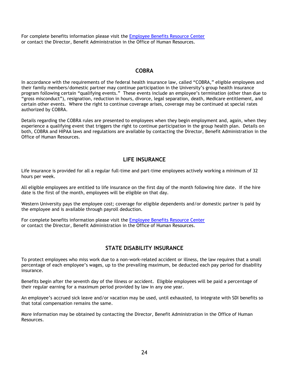For complete benefits information please visit the **Employee Benefits Resource Center** or contact the Director, Benefit Administration in the Office of Human Resources.

# **COBRA**

In accordance with the requirements of the federal health insurance law, called "COBRA," eligible employees and their family members/domestic partner may continue participation in the University's group health insurance program following certain "qualifying events." These events include an employee's termination (other than due to "gross misconduct"), resignation, reduction in hours, divorce, legal separation, death, Medicare entitlement, and certain other events. Where the right to continue coverage arises, coverage may be continued at special rates authorized by COBRA.

Details regarding the COBRA rules are presented to employees when they begin employment and, again, when they experience a qualifying event that triggers the right to continue participation in the group health plan. Details on both, COBRA and HIPAA laws and regulations are available by contacting the Director, Benefit Administration in the Office of Human Resources.

# **LIFE INSURANCE**

Life insurance is provided for all a regular full-time and part-time employees actively working a minimum of 32 hours per week.

All eligible employees are entitled to life insurance on the first day of the month following hire date. If the hire date is the first of the month, employees will be eligible on that day.

Western University pays the employee cost; coverage for eligible dependents and/or domestic partner is paid by the employee and is available through payroll deduction.

For complete benefits information please visit the [Employee Benefits Resource Center](http://hrportal.plansource.com/Hr/ABDConnect/main/eelogin/q1259.asp) or contact the Director, Benefit Administration in the Office of Human Resources.

# **STATE DISABILITY INSURANCE**

To protect employees who miss work due to a non-work-related accident or illness, the law requires that a small percentage of each employee's wages, up to the prevailing maximum, be deducted each pay period for disability insurance.

Benefits begin after the seventh day of the illness or accident. Eligible employees will be paid a percentage of their regular earning for a maximum period provided by law in any one year.

An employee's accrued sick leave and/or vacation may be used, until exhausted, to integrate with SDI benefits so that total compensation remains the same.

More information may be obtained by contacting the Director, Benefit Administration in the Office of Human Resources.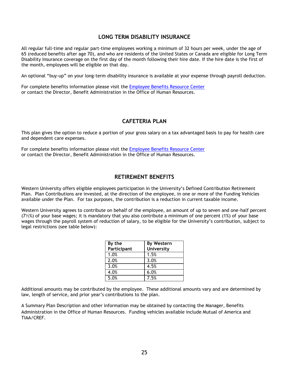# **LONG TERM DISABILITY INSURANCE**

All regular full-time and regular part-time employees working a minimum of 32 hours per week, under the age of 65 (reduced benefits after age 70), and who are residents of the United States or Canada are eligible for Long Term Disability Insurance coverage on the first day of the month following their hire date. If the hire date is the first of the month, employees will be eligible on that day.

An optional "buy-up" on your long-term disability insurance is available at your expense through payroll deduction.

For complete benefits information please visit the [Employee Benefits Resource Center](http://hrportal.plansource.com/Hr/ABDConnect/main/eelogin/q1259.asp) or contact the Director, Benefit Administration in the Office of Human Resources.

# **CAFETERIA PLAN**

This plan gives the option to reduce a portion of your gross salary on a tax advantaged basis to pay for health care and dependent care expenses.

For complete benefits information please visit the [Employee Benefits Resource Center](http://hrportal.plansource.com/Hr/ABDConnect/main/eelogin/q1259.asp) or contact the Director, Benefit Administration in the Office of Human Resources.

# **RETIREMENT BENEFITS**

Western University offers eligible employees participation in the University's Defined Contribution Retirement Plan. Plan Contributions are invested, at the direction of the employee, in one or more of the Funding Vehicles available under the Plan. For tax purposes, the contribution is a reduction in current taxable income.

Western University agrees to contribute on behalf of the employee, an amount of up to seven and one-half percent (7½%) of your base wages; it is mandatory that you also contribute a minimum of one percent (1%) of your base wages through the payroll system of reduction of salary, to be eligible for the University's contribution, subject to legal restrictions (see table below):

| By the      | <b>By Western</b> |
|-------------|-------------------|
| Participant | University        |
| 1.0%        | 1.5%              |
| 2.0%        | 3.0%              |
| 3.0%        | 4.5%              |
| 4.0%        | 6.0%              |
| 5.0%        | 7.5%              |

Additional amounts may be contributed by the employee. These additional amounts vary and are determined by law, length of service, and prior year's contributions to the plan.

A Summary Plan Description and other information may be obtained by contacting the Manager, Benefits Administration in the Office of Human Resources. Funding vehicles available include Mutual of America and TIAA/CREF.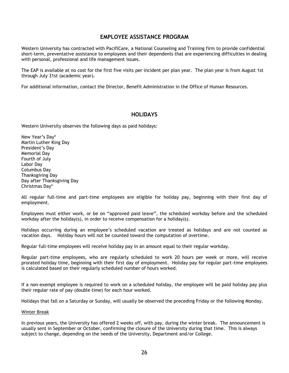# **EMPLOYEE ASSISTANCE PROGRAM**

Western University has contracted with PacifiCare, a National Counseling and Training firm to provide confidential short-term, preventative assistance to employees and their dependents that are experiencing difficulties in dealing with personal, professional and life management issues.

The EAP is available at no cost for the first five visits per incident per plan year. The plan year is from August 1st through July 31st (academic year).

For additional information, contact the Director, Benefit Administration in the Office of Human Resources.

# **HOLIDAYS**

Western University observes the following days as paid holidays:

New Year's Day\* Martin Luther King Day President's Day Memorial Day Fourth of July Labor Day Columbus Day Thanksgiving Day Day after Thanksgiving Day Christmas Day\*

All regular full-time and part-time employees are eligible for holiday pay, beginning with their first day of employment.

Employees must either work, or be on "approved paid leave", the scheduled workday before and the scheduled workday after the holiday(s), in order to receive compensation for a holiday(s).

Holidays occurring during an employee's scheduled vacation are treated as holidays and are not counted as vacation days. Holiday hours will not be counted toward the computation of overtime.

Regular full-time employees will receive holiday pay in an amount equal to their regular workday.

Regular part-time employees, who are regularly scheduled to work 20 hours per week or more, will receive prorated holiday time, beginning with their first day of employment. Holiday pay for regular part-time employees is calculated based on their regularly scheduled number of hours worked.

If a non-exempt employee is required to work on a scheduled holiday, the employee will be paid holiday pay plus their regular rate of pay (double time) for each hour worked.

Holidays that fall on a Saturday or Sunday, will usually be observed the preceding Friday or the following Monday.

#### Winter Break

In previous years, the University has offered 2 weeks off, with pay, during the winter break. The announcement is usually sent in September or October, confirming the closure of the University during that time. This is always subject to change, depending on the needs of the University, Department and/or College.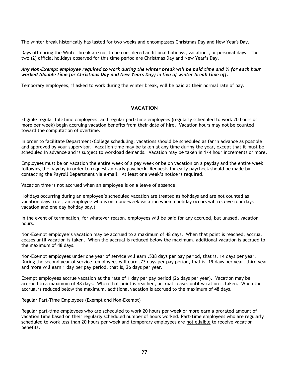The winter break historically has lasted for two weeks and encompasses Christmas Day and New Year's Day.

Days off during the Winter break are not to be considered additional holidays, vacations, or personal days. The two (2) official holidays observed for this time period are Christmas Day and New Year's Day.

#### *Any Non-Exempt employee required to work during the winter break will be paid time and ½ for each hour worked (double time for Christmas Day and New Years Day) in lieu of winter break time off.*

Temporary employees, if asked to work during the winter break, will be paid at their normal rate of pay.

# **VACATION**

Eligible regular full-time employees, and regular part-time employees (regularly scheduled to work 20 hours or more per week) begin accruing vacation benefits from their date of hire. Vacation hours may not be counted toward the computation of overtime.

In order to facilitate Department/College scheduling, vacations should be scheduled as far in advance as possible and approved by your supervisor. Vacation time may be taken at any time during the year, except that it must be scheduled in advance and is subject to workload demands. Vacation may be taken in 1/4 hour increments or more.

Employees must be on vacation the entire week of a pay week or be on vacation on a payday and the entire week following the payday in order to request an early paycheck. Requests for early paycheck should be made by contacting the Payroll Department via e-mail. At least one week's notice is required.

Vacation time is not accrued when an employee is on a leave of absence.

Holidays occurring during an employee's scheduled vacation are treated as holidays and are not counted as vacation days (i.e., an employee who is on a one-week vacation when a holiday occurs will receive four days vacation and one day holiday pay.)

In the event of termination, for whatever reason, employees will be paid for any accrued, but unused, vacation hours.

Non-Exempt employee's vacation may be accrued to a maximum of 48 days. When that point is reached, accrual ceases until vacation is taken. When the accrual is reduced below the maximum, additional vacation is accrued to the maximum of 48 days.

Non-Exempt employees under one year of service will earn .538 days per pay period, that is, 14 days per year. During the second year of service, employees will earn .73 days per pay period, that is, 19 days per year; third year and more will earn 1 day per pay period, that is, 26 days per year.

Exempt employees accrue vacation at the rate of 1 day per pay period (26 days per year). Vacation may be accrued to a maximum of 48 days. When that point is reached, accrual ceases until vacation is taken. When the accrual is reduced below the maximum, additional vacation is accrued to the maximum of 48 days.

Regular Part-Time Employees (Exempt and Non-Exempt)

Regular part-time employees who are scheduled to work 20 hours per week or more earn a prorated amount of vacation time based on their regularly scheduled number of hours worked. Part-time employees who are regularly scheduled to work less than 20 hours per week and temporary employees are not eligible to receive vacation benefits.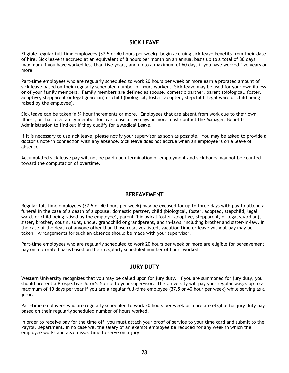# **SICK LEAVE**

Eligible regular full-time employees (37.5 or 40 hours per week), begin accruing sick leave benefits from their date of hire. Sick leave is accrued at an equivalent of 8 hours per month on an annual basis up to a total of 30 days maximum if you have worked less than five years, and up to a maximum of 60 days if you have worked five years or more.

Part-time employees who are regularly scheduled to work 20 hours per week or more earn a prorated amount of sick leave based on their regularly scheduled number of hours worked. Sick leave may be used for your own illness or of your family members. Family members are defined as spouse, domestic partner, parent (biological, foster, adoptive, stepparent or legal guardian) or child (biological, foster, adopted, stepchild, legal ward or child being raised by the employee).

Sick leave can be taken in ¼ hour increments or more. Employees that are absent from work due to their own illness, or that of a family member for five consecutive days or more must contact the Manager, Benefits Administration to find out if they qualify for a Medical Leave.

If it is necessary to use sick leave, please notify your supervisor as soon as possible. You may be asked to provide a doctor's note in connection with any absence. Sick leave does not accrue when an employee is on a leave of absence.

Accumulated sick leave pay will not be paid upon termination of employment and sick hours may not be counted toward the computation of overtime.

# **BEREAVEMENT**

Regular full-time employees (37.5 or 40 hours per week) may be excused for up to three days with pay to attend a funeral in the case of a death of a spouse, domestic partner, child (biological, foster, adopted, stepchild, legal ward, or child being raised by the employee), parent (biological foster, adoptive, stepparent, or legal guardian), sister, brother, cousin, aunt, uncle, grandchild or grandparent, and in-laws, including brother and sister-in-law. In the case of the death of anyone other than those relatives listed, vacation time or leave without pay may be taken. Arrangements for such an absence should be made with your supervisor.

Part-time employees who are regularly scheduled to work 20 hours per week or more are eligible for bereavement pay on a prorated basis based on their regularly scheduled number of hours worked.

# **JURY DUTY**

Western University recognizes that you may be called upon for jury duty. If you are summoned for jury duty, you should present a Prospective Juror's Notice to your supervisor. The University will pay your regular wages up to a maximum of 10 days per year If you are a regular full-time employee (37.5 or 40 hour per week) while serving as a juror.

Part-time employees who are regularly scheduled to work 20 hours per week or more are eligible for jury duty pay based on their regularly scheduled number of hours worked.

In order to receive pay for the time off, you must attach your proof of service to your time card and submit to the Payroll Department. In no case will the salary of an exempt employee be reduced for any week in which the employee works and also misses time to serve on a jury.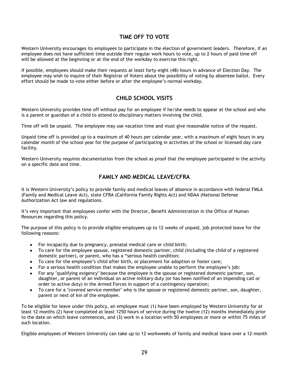# **TIME OFF TO VOTE**

Western University encourages its employees to participate in the election of government leaders. Therefore, if an employee does not have sufficient time outside their regular work hours to vote, up to 2 hours of paid time off will be allowed at the beginning or at the end of the workday to exercise this right.

If possible, employees should make their requests at least forty-eight (48) hours in advance of Election Day. The employee may wish to inquire of their Registrar of Voters about the possibility of voting by absentee ballot. Every effort should be made to vote either before or after the employee's normal workday.

# **CHILD SCHOOL VISITS**

Western University provides time off without pay for an employee if he/she needs to appear at the school and who is a parent or guardian of a child to attend to disciplinary matters involving the child.

Time off will be unpaid. The employee may use vacation time and must give reasonable notice of the request.

Unpaid time off is provided up to a maximum of 40 hours per calendar year, with a maximum of eight hours in any calendar month of the school year for the purpose of participating in activities of the school or licensed day care facility.

Western University requires documentation from the school as proof that the employee participated in the activity on a specific date and time.

# **FAMILY AND MEDICAL LEAVE/CFRA**

It is Western University's policy to provide family and medical leaves of absence in accordance with federal FMLA (Family and Medical Leave Act), state CFRA (California Family Rights Act) and NDAA (National Defense Authorization Act law and regulations.

It's very important that employees confer with the Director, Benefit Administration in the Office of Human Resources regarding this policy.

The purpose of this policy is to provide eligible employees up to 12 weeks of unpaid, job protected leave for the following reasons:

- For incapacity due to pregnancy, prenatal medical care or child birth;
- To care for the employee spouse, registered domestic partner, child (including the child of a registered  $\bullet$ domestic partner), or parent, who has a "serious health condition;
- To care for the employee's child after birth, or placement for adoption or foster care;  $\bullet$
- For a serious health condition that makes the employee unable to perform the employee's job:
- For any "qualifying exigency" because the employee is the spouse or registered domestic partner, son, daughter, or parent of an individual on active military duty (or has been notified of an impending call or order to active duty) in the Armed Forces in support of a contingency operation;
- To care for a "covered service member" who is the spouse or registered domestic partner, son, daughter, parent or next of kin of the employee.

To be eligible for leave under this policy, an employee must (1) have been employed by Western University for at least 12 months (2) have completed at least 1250 hours of service during the twelve (12) months immediately prior to the date on which leave commences, and (3) work in a location with 50 employees or more or within 75 miles of such location.

Eligible employees of Western University can take up to 12 workweeks of family and medical leave over a 12-month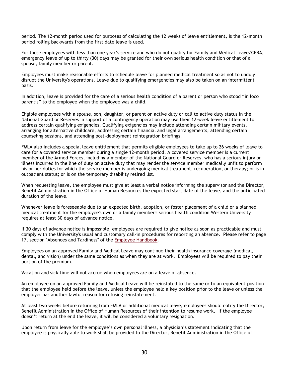period. The 12-month period used for purposes of calculating the 12 weeks of leave entitlement, is the 12-month period rolling backwards from the first date leave is used.

For those employees with less than one year's service and who do not qualify for Family and Medical Leave/CFRA, emergency leave of up to thirty (30) days may be granted for their own serious health condition or that of a spouse, family member or parent.

Employees must make reasonable efforts to schedule leave for planned medical treatment so as not to unduly disrupt the University's operations. Leave due to qualifying emergencies may also be taken on an intermittent basis.

In addition, leave is provided for the care of a serious health condition of a parent or person who stood "in loco parentis" to the employee when the employee was a child.

Eligible employees with a spouse, son, daughter, or parent on active duty or call to active duty status in the National Guard or Reserves in support of a contingency operation may use their 12-week leave entitlement to address certain qualifying exigencies. Qualifying exigencies may include attending certain military events, arranging for alternative childcare, addressing certain financial and legal arrangements, attending certain counseling sessions, and attending post-deployment reintegration briefings.

FMLA also includes a special leave entitlement that permits eligible employees to take up to 26 weeks of leave to care for a covered service member during a single 12-month period. A covered service member is a current member of the Armed Forces, including a member of the National Guard or Reserves, who has a serious injury or illness incurred in the line of duty on active duty that may render the service member medically unfit to perform his or her duties for which the service member is undergoing medical treatment, recuperation, or therapy; or is in outpatient status; or is on the temporary disability retired list.

When requesting leave, the employee must give at least a verbal notice informing the supervisor and the Director, Benefit Administration in the Office of Human Resources the expected start date of the leave, and the anticipated duration of the leave.

Whenever leave is foreseeable due to an expected birth, adoption, or foster placement of a child or a planned medical treatment for the employee's own or a family member's serious health condition Western University requires at least 30 days of advance notice.

If 30 days of advance notice is impossible, employees are required to give notice as soon as practicable and must comply with the University's usual and customary call-in procedures for reporting an absence. Please refer to page 17, section "Absences and Tardiness" of the **Employee Handbook**.

Employees on an approved Family and Medical Leave may continue their health insurance coverage (medical, dental, and vision) under the same conditions as when they are at work. Employees will be required to pay their portion of the premium.

Vacation and sick time will not accrue when employees are on a leave of absence.

An employee on an approved Family and Medical Leave will be reinstated to the same or to an equivalent position that the employee held before the leave, unless the employee held a key position prior to the leave or unless the employer has another lawful reason for refusing reinstatement.

At least two weeks before returning from FMLA or additional medical leave, employees should notify the Director, Benefit Administration in the Office of Human Resources of their intention to resume work. If the employee doesn't return at the end the leave, it will be considered a voluntary resignation.

Upon return from leave for the employee's own personal illness, a physician's statement indicating that the employee is physically able to work shall be provided to the Director, Benefit Administration in the Office of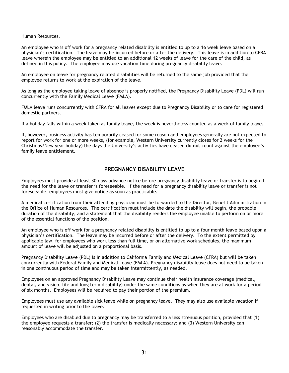Human Resources.

An employee who is off work for a pregnancy related disability is entitled to up to a 16 week leave based on a physician's certification. The leave may be incurred before or after the delivery. This leave is in addition to CFRA leave wherein the employee may be entitled to an additional 12 weeks of leave for the care of the child, as defined in this policy. The employee may use vacation time during pregnancy disability leave.

An employee on leave for pregnancy related disabilities will be returned to the same job provided that the employee returns to work at the expiration of the leave.

As long as the employee taking leave of absence is properly notified, the Pregnancy Disability Leave (PDL) will run concurrently with the Family Medical Leave (FMLA).

FMLA leave runs concurrently with CFRA for all leaves except due to Pregnancy Disability or to care for registered domestic partners.

If a holiday falls within a week taken as family leave, the week is nevertheless counted as a week of family leave.

If, however, business activity has temporarily ceased for some reason and employees generally are not expected to report for work for one or more weeks, (for example, Western University currently closes for 2 weeks for the Christmas/New year holiday) the days the University's activities have ceased **do not** count against the employee's family leave entitlement.

# **PREGNANCY DISABILITY LEAVE**

Employees must provide at least 30 days advance notice before pregnancy disability leave or transfer is to begin if the need for the leave or transfer is foreseeable. If the need for a pregnancy disability leave or transfer is not foreseeable, employees must give notice as soon as practicable.

A medical certification from their attending physician must be forwarded to the Director, Benefit Administration in the Office of Human Resources. The certification must include the date the disability will begin, the probable duration of the disability, and a statement that the disability renders the employee unable to perform on or more of the essential functions of the position.

An employee who is off work for a pregnancy related disability is entitled to up to a four month leave based upon a physician's certification. The leave may be incurred before or after the delivery. To the extent permitted by applicable law, for employees who work less than full time, or on alternative work schedules, the maximum amount of leave will be adjusted on a proportional basis.

Pregnancy Disability Leave (PDL) is in addition to California Family and Medical Leave (CFRA) but will be taken concurrently with Federal Family and Medical Leave (FMLA). Pregnancy disability leave does not need to be taken in one continuous period of time and may be taken intermittently, as needed.

Employees on an approved Pregnancy Disability Leave may continue their health insurance coverage (medical, dental, and vision, life and long term disability) under the same conditions as when they are at work for a period of six months. Employees will be required to pay their portion of the premium.

Employees must use any available sick leave while on pregnancy leave. They may also use available vacation if requested in writing prior to the leave.

Employees who are disabled due to pregnancy may be transferred to a less strenuous position, provided that (1) the employee requests a transfer; (2) the transfer is medically necessary; and (3) Western University can reasonably accommodate the transfer.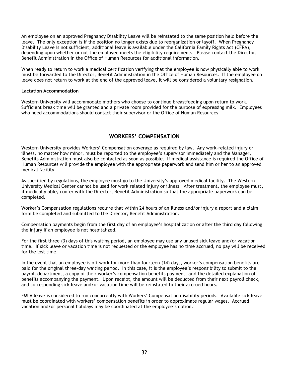An employee on an approved Pregnancy Disability Leave will be reinstated to the same position held before the leave. The only exception is if the position no longer exists due to reorganization or layoff. When Pregnancy Disability Leave is not sufficient, additional leave is available under the California Family Rights Act (CFRA), depending upon whether or not the employee meets the eligibility requirements. Please contact the Director, Benefit Administration in the Office of Human Resources for additional information.

When ready to return to work a medical certification verifying that the employee is now physically able to work must be forwarded to the Director, Benefit Administration in the Office of Human Resources. If the employee on leave does not return to work at the end of the approved leave, it will be considered a voluntary resignation.

#### **Lactation Accommodation**

Western University will accommodate mothers who choose to continue breastfeeding upon return to work. Sufficient break time will be granted and a private room provided for the purpose of expressing milk. Employees who need accommodations should contact their supervisor or the Office of Human Resources.

# **WORKERS' COMPENSATION**

Western University provides Workers' Compensation coverage as required by law. Any work-related injury or illness, no matter how minor, must be reported to the employee's supervisor immediately and the Manager, Benefits Administration must also be contacted as soon as possible. If medical assistance is required the Office of Human Resources will provide the employee with the appropriate paperwork and send him or her to an approved medical facility.

As specified by regulations, the employee must go to the University's approved medical facility. The Western University Medical Center cannot be used for work related injury or illness. After treatment, the employee must, if medically able, confer with the Director, Benefit Administration so that the appropriate paperwork can be completed.

Worker's Compensation regulations require that within 24 hours of an illness and/or injury a report and a claim form be completed and submitted to the Director, Benefit Administration.

Compensation payments begin from the first day of an employee's hospitalization or after the third day following the injury if an employee is not hospitalized.

For the first three (3) days of this waiting period, an employee may use any unused sick leave and/or vacation time. If sick leave or vacation time is not requested or the employee has no time accrued, no pay will be received for the lost time.

In the event that an employee is off work for more than fourteen (14) days, worker's compensation benefits are paid for the original three-day waiting period. In this case, it is the employee's responsibility to submit to the payroll department, a copy of their worker's compensation benefits payment, and the detailed explanation of benefits accompanying the payment. Upon receipt, the amount will be deducted from their next payroll check, and corresponding sick leave and/or vacation time will be reinstated to their accrued hours.

FMLA leave is considered to run concurrently with Workers' Compensation disability periods. Available sick leave must be coordinated with workers' compensation benefits in order to approximate regular wages. Accrued vacation and/or personal holidays may be coordinated at the employee's option.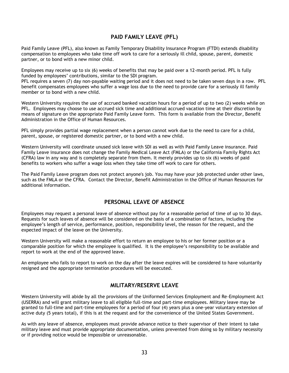# **PAID FAMILY LEAVE (PFL)**

Paid Family Leave (PFL), also known as Family Temporary Disability Insurance Program (FTDI) extends disability compensation to employees who take time off work to care for a seriously ill child, spouse, parent, domestic partner, or to bond with a new minor child.

Employees may receive up to six (6) weeks of benefits that may be paid over a 12-month period. PFL is fully funded by employees' contributions, similar to the SDI program.

PFL requires a seven (7) day non-payable waiting period and it does not need to be taken seven days in a row. PFL benefit compensates employees who suffer a wage loss due to the need to provide care for a seriously ill family member or to bond with a new child.

Western University requires the use of accrued banked vacation hours for a period of up to two (2) weeks while on PFL. Employees may choose to use accrued sick time and additional accrued vacation time at their discretion by means of signature on the appropriate Paid Family Leave form. This form is available from the Director, Benefit Administration in the Office of Human Resources.

PFL simply provides partial wage replacement when a person cannot work due to the need to care for a child, parent, spouse, or registered domestic partner, or to bond with a new child.

Western University will coordinate unused sick leave with SDI as well as with Paid Family Leave insurance. Paid Family Leave insurance does not change the Family Medical Leave Act (FMLA) or the California Family Rights Act (CFRA) law in any way and is completely separate from them. It merely provides up to six (6) weeks of paid benefits to workers who suffer a wage loss when they take time off work to care for others.

The Paid Family Leave program does not protect anyone's job. You may have your job protected under other laws, such as the FMLA or the CFRA. Contact the Director, Benefit Administration in the Office of Human Resources for additional information.

# **PERSONAL LEAVE OF ABSENCE**

Employees may request a personal leave of absence without pay for a reasonable period of time of up to 30 days. Requests for such leaves of absence will be considered on the basis of a combination of factors, including the employee's length of service, performance, position, responsibility level, the reason for the request, and the expected impact of the leave on the University.

Western University will make a reasonable effort to return an employee to his or her former position or a comparable position for which the employee is qualified. It is the employee's responsibility to be available and report to work at the end of the approved leave.

An employee who fails to report to work on the day after the leave expires will be considered to have voluntarily resigned and the appropriate termination procedures will be executed.

# **MILITARY/RESERVE LEAVE**

Western University will abide by all the provisions of the Uniformed Services Employment and Re-Employment Act (USERRA) and will grant military leave to all eligible full-time and part-time employees. Military leave may be granted to full-time and part-time employees for a period of four (4) years plus a one-year voluntary extension of active duty (5 years total), if this is at the request and for the convenience of the United States Government.

As with any leave of absence, employees must provide advance notice to their supervisor of their intent to take military leave and must provide appropriate documentation, unless prevented from doing so by military necessity or if providing notice would be impossible or unreasonable.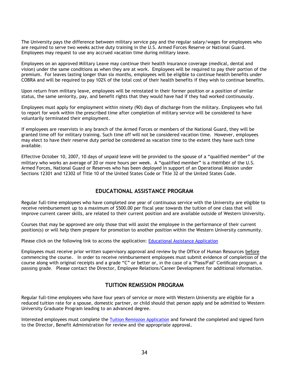The University pays the difference between military service pay and the regular salary/wages for employees who are required to serve two weeks active duty training in the U.S. Armed Forces Reserve or National Guard. Employees may request to use any accrued vacation time during military leave.

Employees on an approved Military Leave may continue their health insurance coverage (medical, dental and vision) under the same conditions as when they are at work. Employees will be required to pay their portion of the premium. For leaves lasting longer than six months, employees will be eligible to continue health benefits under COBRA and will be required to pay 102% of the total cost of their health benefits if they wish to continue benefits.

Upon return from military leave, employees will be reinstated in their former position or a position of similar status, the same seniority, pay, and benefit rights that they would have had if they had worked continuously.

Employees must apply for employment within ninety (90) days of discharge from the military. Employees who fail to report for work within the prescribed time after completion of military service will be considered to have voluntarily terminated their employment.

If employees are reservists in any branch of the Armed Forces or members of the National Guard, they will be granted time off for military training. Such time off will not be considered vacation time. However, employees may elect to have their reserve duty period be considered as vacation time to the extent they have such time available.

Effective October 10, 2007, 10 days of unpaid leave will be provided to the spouse of a "qualified member" of the military who works an average of 20 or more hours per week. A "qualified member" is a member of the U.S. Armed Forces, National Guard or Reserves who has been deployed in support of an Operational Mission under Sections 12301 and 12302 of Title 10 of the United States Code or Title 32 of the United States Code.

# **EDUCATIONAL ASSISTANCE PROGRAM**

Regular full-time employees who have completed one year of continuous service with the University are eligible to receive reimbursement up to a maximum of \$500.00 per fiscal year towards the tuition of one class that will improve current career skills, are related to their current position and are available outside of Western University.

Courses that may be approved are only those that will assist the employee in the performance of their current position(s) or will help them prepare for promotion to another position within the Western University community.

Please click on the following link to access the application: [Educational Assistance Application](http://www.westernu.edu/bin/hr/Educational%20Assistance%20Application.pdf)

Employees must receive prior written supervisory approval and review by the Office of Human Resources before commencing the course. In order to receive reimbursement employees must submit evidence of completion of the course along with original receipts and a grade "C" or better or, in the case of a "Pass/Fail" Certificate program, a passing grade. Please contact the Director, Employee Relations/Career Development for additional information.

# **TUITION REMISSION PROGRAM**

Regular full-time employees who have four years of service or more with Western University are eligible for a reduced tuition rate for a spouse, domestic partner, or child should that person apply and be admitted to Western University Graduate Program leading to an advanced degree.

Interested employees must complete the [Tuition Remission Application](http://www.westernu.edu/bin/hr/tuition-remission-application.dot) and forward the completed and signed form to the Director, Benefit Administration for review and the appropriate approval.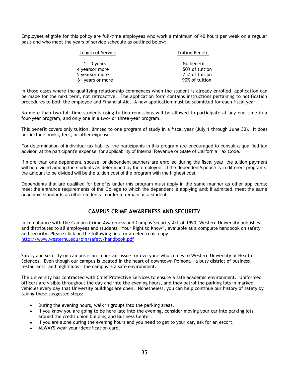Employees eligible for this policy are full-time employees who work a minimum of 40 hours per week on a regular basis and who meet the years of service schedule as outlined below:

| <b>Tuition Benefit</b> |
|------------------------|
| No benefit             |
| 50% of tuition         |
| 75% of tuition         |
| 90% of tuition         |
|                        |

In those cases where the qualifying relationship commences when the student is already enrolled, application can be made for the next term, not retroactive. The application form contains instructions pertaining to notification procedures to both the employee and Financial Aid. A new application must be submitted for each fiscal year.

No more than two full time students using tuition remissions will be allowed to participate at any one time in a four-year program, and only one in a two- or three-year program.

This benefit covers only tuition, limited to one program of study in a fiscal year (July 1 through June 30). It does not include books, fees, or other expenses.

For determination of individual tax liability, the participants in this program are encouraged to consult a qualified tax advisor, at the participant's expense, for applicability of Internal Revenue or State of California Tax Code.

If more than one dependent, spouse, or dependent partners are enrolled during the fiscal year, the tuition payment will be divided among the students as determined by the employee. If the dependent/spouse is in different programs, the amount to be divided will be the tuition cost of the program with the highest cost.

Dependents that are qualified for benefits under this program must apply in the same manner as other applicants; meet the entrance requirements of the College to which the dependent is applying and; if admitted, meet the same academic standards as other students in order to remain as a student.

# **CAMPUS CRIME AWARENESS AND SECURITY**

In compliance with the Campus Crime Awareness and Campus Security Act of 1990, Western University publishes and distributes to all employees and students "Your Right to Know", available at a complete handbook on safety and security. Please click on the following link for an electronic copy: <http://www.westernu.edu/bin/safety/handbook.pdf>

Safety and security on campus is an important issue for everyone who comes to Western University of Health Sciences. Even though our campus is located in the heart of downtown Pomona – a busy district of business, restaurants, and nightclubs – the campus is a safe environment.

The University has contracted with Chief Protective Services to ensure a safe academic environment. Uniformed officers are visible throughout the day and into the evening hours, and they patrol the parking lots in marked vehicles every day that University buildings are open. Nonetheless, you can help continue our history of safety by taking these suggested steps:

- During the evening hours, walk in groups into the parking areas.
- If you know you are going to be here late into the evening, consider moving your car into parking lots around the credit union building and Business Center.
- If you are alone during the evening hours and you need to get to your car, ask for an escort.
- ALWAYS wear your identification card.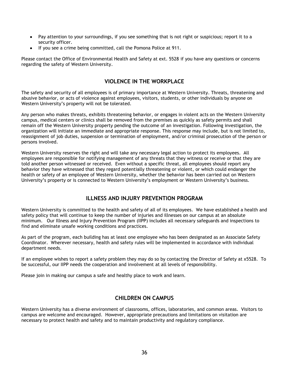- Pay attention to your surroundings, if you see something that is not right or suspicious; report it to a  $\bullet$ security officer.
- If you see a crime being committed, call the Pomona Police at 911.

Please contact the Office of Environmental Health and Safety at ext. 5528 if you have any questions or concerns regarding the safety of Western University.

# **VIOLENCE IN THE WORKPLACE**

The safety and security of all employees is of primary importance at Western University. Threats, threatening and abusive behavior, or acts of violence against employees, visitors, students, or other individuals by anyone on Western University's property will not be tolerated.

Any person who makes threats, exhibits threatening behavior, or engages in violent acts on the Western University campus, medical centers or clinics shall be removed from the premises as quickly as safety permits and shall remain off the Western University property pending the outcome of an investigation. Following investigation, the organization will initiate an immediate and appropriate response. This response may include, but is not limited to, reassignment of job duties, suspension or termination of employment, and/or criminal prosecution of the person or persons involved.

Western University reserves the right and will take any necessary legal action to protect its employees. All employees are responsible for notifying management of any threats that they witness or receive or that they are told another person witnessed or received. Even without a specific threat, all employees should report any behavior they have witnessed that they regard potentially threatening or violent, or which could endanger the health or safety of an employee of Western University, whether the behavior has been carried out on Western University's property or is connected to Western University's employment or Western University's business.

# **ILLNESS AND INJURY PREVENTION PROGRAM**

Western University is committed to the health and safety of all of its employees. We have established a health and safety policy that will continue to keep the number of injuries and illnesses on our campus at an absolute minimum. Our Illness and Injury Prevention Program (IIPP) includes all necessary safeguards and inspections to find and eliminate unsafe working conditions and practices.

As part of the program, each building has at least one employee who has been designated as an Associate Safety Coordinator. Wherever necessary, health and safety rules will be implemented in accordance with individual department needs.

If an employee wishes to report a safety problem they may do so by contacting the Director of Safety at x5528. To be successful, our IIPP needs the cooperation and involvement at all levels of responsibility.

Please join in making our campus a safe and healthy place to work and learn.

# **CHILDREN ON CAMPUS**

Western University has a diverse environment of classrooms, offices, laboratories, and common areas. Visitors to campus are welcome and encouraged. However, appropriate precautions and limitations on visitation are necessary to protect health and safety and to maintain productivity and regulatory compliance.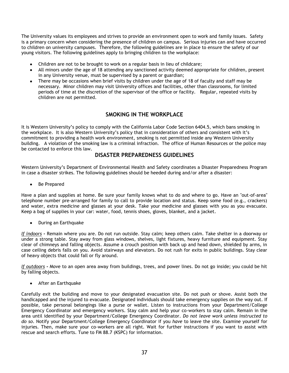The University values its employees and strives to provide an environment open to work and family issues. Safety is a primary concern when considering the presence of children on campus. Serious injuries can and have occurred to children on university campuses. Therefore, the following guidelines are in place to ensure the safety of our young visitors. The following guidelines apply to bringing children to the workplace:

- Children are not to be brought to work on a regular basis in lieu of childcare;  $\bullet$
- All minors under the age of 18 attending any sanctioned activity deemed appropriate for children, present in any University venue, must be supervised by a parent or guardian;
- There may be occasions when brief visits by children under the age of 18 of faculty and staff may be necessary. Minor children may visit University offices and facilities, other than classrooms, for limited periods of time at the discretion of the supervisor of the office or facility. Regular, repeated visits by children are not permitted.

# **SMOKING IN THE WORKPLACE**

It is Western University's policy to comply with the California Labor Code Section 6404.5, which bans smoking in the workplace. It is also Western University's policy that in consideration of others and consistent with it's commitment to providing a health work environment, smoking is not permitted inside any Western University building. A violation of the smoking law is a criminal infraction. The office of Human Resources or the police may be contacted to enforce this law.

### **DISASTER PREPAREDNESS GUIDELINES**

Western University's Department of Environmental Health and Safety coordinates a Disaster Preparedness Program in case a disaster strikes. The following guidelines should be heeded during and/or after a disaster:

• Be Prepared

Have a plan and supplies at home. Be sure your family knows what to do and where to go. Have an "out-of-area" telephone number pre-arranged for family to call to provide location and status. Keep some food (e.g., crackers) and water, extra medicine and glasses at your desk. Take your medicine and glasses with you as you evacuate. Keep a bag of supplies in your car: water, food, tennis shoes, gloves, blanket, and a jacket.

During an Earthquake

*If indoors* **-** Remain where you are. Do not run outside. Stay calm; keep others calm. Take shelter in a doorway or under a strong table. Stay away from glass windows, shelves, light fixtures, heavy furniture and equipment. Stay clear of chimneys and falling objects. Assume a crouch position with back up and head down, shielded by arms, in case ceiling debris falls on you. Avoid stairways and elevators. Do not rush for exits in public buildings. Stay clear of heavy objects that could fall or fly around.

*If outdoors* **-** Move to an open area away from buildings, trees, and power lines. Do not go inside; you could be hit by falling objects.

• After an Earthquake

Carefully exit the building and move to your designated evacuation site. Do not push or shove. Assist both the handicapped and the injured to evacuate. Designated individuals should take emergency supplies on the way out. If possible, take personal belongings like a purse or wallet. Listen to instructions from your Department/College Emergency Coordinator and emergency workers. Stay calm and help your co-workers to stay calm. Remain in the area until identified by your Department/College Emergency Coordinator. *Do not leave work unless instructed to do so*. Notify your Department/College Emergency Coordinator if you *have* to leave the site. Examine yourself for injuries. Then, make sure your co-workers are all right. Wait for further instructions if you want to assist with rescue and search efforts. Tune to FM 88.7 (KSPC) for information.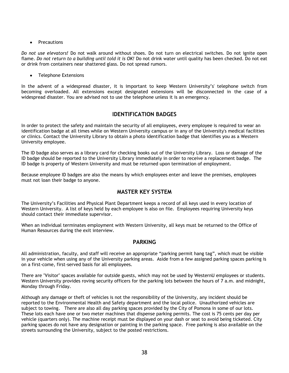• Precautions

*Do not use elevators!* Do not walk around without shoes. Do not turn on electrical switches. Do not ignite open flame. *Do not return to a building until told it is OK!* Do not drink water until quality has been checked. Do not eat or drink from containers near shattered glass. Do not spread rumors.

• Telephone Extensions

In the advent of a widespread disaster, it is important to keep Western University's' telephone switch from becoming overloaded. All extensions except designated extensions will be disconnected in the case of a widespread disaster. You are advised not to use the telephone unless it is an emergency.

# **IDENTIFICATION BADGES**

In order to protect the safety and maintain the security of all employees, every employee is required to wear an identification badge at all times while on Western University campus or in any of the University's medical facilities or clinics. Contact the University Library to obtain a photo identification badge that identifies you as a Western University employee.

The ID badge also serves as a library card for checking books out of the University Library. Loss or damage of the ID badge should be reported to the University Library immediately in order to receive a replacement badge. The ID badge is property of Western University and must be returned upon termination of employment.

Because employee ID badges are also the means by which employees enter and leave the premises, employees must not loan their badge to anyone.

# **MASTER KEY SYSTEM**

The University's Facilities and Physical Plant Department keeps a record of all keys used in every location of Western University. A list of keys held by each employee is also on file. Employees requiring University keys should contact their immediate supervisor.

When an individual terminates employment with Western University, all keys must be returned to the Office of Human Resources during the exit interview.

# **PARKING**

All administration, faculty, and staff will receive an appropriate "parking permit hang tag", which must be visible in your vehicle when using any of the University parking areas. Aside from a few assigned parking spaces parking is on a first-come, first-served basis for all employees.

There are "Visitor" spaces available for outside guests, which may not be used by WesternU employees or students. Western University provides roving security officers for the parking lots between the hours of 7 a.m. and midnight, Monday through Friday.

Although any damage or theft of vehicles is not the responsibility of the University, any incident should be reported to the Environmental Health and Safety department and the local police. Unauthorized vehicles are subject to towing. There are also all day parking spaces provided by the City of Pomona in some of our lots. These lots each have one or two meter machines that dispense parking permits. The cost is 75 cents per day per vehicle (quarters only). The machine receipt must be displayed on your dash or seat to avoid being ticketed. City parking spaces do not have any designation or painting in the parking space. Free parking is also available on the streets surrounding the University, subject to the posted restrictions.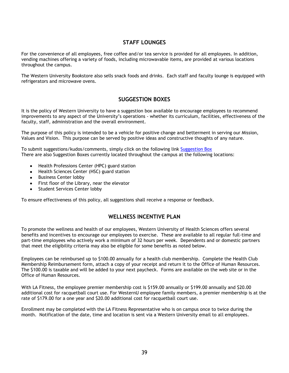# **STAFF LOUNGES**

For the convenience of all employees, free coffee and/or tea service is provided for all employees. In addition, vending machines offering a variety of foods, including microwavable items, are provided at various locations throughout the campus.

The Western University Bookstore also sells snack foods and drinks. Each staff and faculty lounge is equipped with refrigerators and microwave ovens.

# **SUGGESTION BOXES**

It is the policy of Western University to have a suggestion box available to encourage employees to recommend improvements to any aspect of the University's operations - whether its curriculum, facilities, effectiveness of the faculty, staff, administration and the overall environment.

The purpose of this policy is intended to be a vehicle for positive change and betterment in serving our Mission, Values and Vision. This purpose can be served by positive ideas and constructive thoughts of any nature.

To submit suggestions/kudos/comments, simply click on the following link [Suggestion Box](http://wsprod/suggestions/kudos.jsp) There are also Suggestion Boxes currently located throughout the campus at the following locations:

- Health Professions Center (HPC) guard station  $\bullet$
- Health Sciences Center (HSC) guard station
- Business Center lobby  $\bullet$
- $\bullet$ First floor of the Library, near the elevator
- Student Services Center lobby

To ensure effectiveness of this policy, all suggestions shall receive a response or feedback.

# **WELLNESS INCENTIVE PLAN**

To promote the wellness and health of our employees, Western University of Health Sciences offers several benefits and incentives to encourage our employees to exercise. These are available to all regular full-time and part-time employees who actively work a minimum of 32 hours per week. Dependents and or domestic partners that meet the eligibility criteria may also be eligible for some benefits as noted below.

Employees can be reimbursed up to \$100.00 annually for a health club membership. Complete the Health Club Membership Reimbursement form, attach a copy of your receipt and return it to the Office of Human Resources. The \$100.00 is taxable and will be added to your next paycheck. Forms are available on the web site or in the Office of Human Resources.

With LA Fitness, the employee premier membership cost is \$159.00 annually or \$199.00 annually and \$20.00 additional cost for racquetball court use. For WesternU employee family members, a premier membership is at the rate of \$179.00 for a one year and \$20.00 additional cost for racquetball court use.

Enrollment may be completed with the LA Fitness Representative who is on campus once to twice during the month. Notification of the date, time and location is sent via a Western University email to all employees.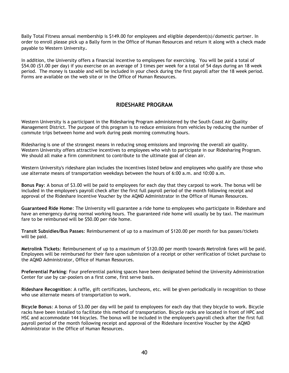Bally Total Fitness annual membership is \$149.00 for employees and eligible dependent(s)/domestic partner. In order to enroll please pick up a Bally form in the Office of Human Resources and return it along with a check made payable to Western University.

In addition, the University offers a financial incentive to employees for exercising. You will be paid a total of \$54.00 (\$1.00 per day) if you exercise on an average of 3 times per week for a total of 54 days during an 18 week period. The money is taxable and will be included in your check during the first payroll after the 18 week period. Forms are available on the web site or in the Office of Human Resources.

# **RIDESHARE PROGRAM**

Western University is a participant in the Ridesharing Program administered by the South Coast Air Quality Management District. The purpose of this program is to reduce emissions from vehicles by reducing the number of commute trips between home and work during peak morning commuting hours.

Ridesharing is one of the strongest means in reducing smog emissions and improving the overall air quality. Western University offers attractive incentives to employees who wish to participate in our Ridesharing Program. We should all make a firm commitment to contribute to the ultimate goal of clean air.

Western University's rideshare plan includes the incentives listed below and employees who qualify are those who use alternate means of transportation weekdays between the hours of 6:00 a.m. and 10:00 a.m.

**Bonus Pay**: A bonus of \$3.00 will be paid to employees for each day that they carpool to work. The bonus will be included in the employee's payroll check after the first full payroll period of the month following receipt and approval of the Rideshare Incentive Voucher by the AQMD Administrator in the Office of Human Resources.

**Guaranteed Ride Home**: The University will guarantee a ride home to employees who participate in Rideshare and have an emergency during normal working hours. The guaranteed ride home will usually be by taxi. The maximum fare to be reimbursed will be \$50.00 per ride home.

**Transit Subsidies/Bus Passes**: Reimbursement of up to a maximum of \$120.00 per month for bus passes/tickets will be paid.

**Metrolink Tickets**: Reimbursement of up to a maximum of \$120.00 per month towards Metrolink fares will be paid. Employees will be reimbursed for their fare upon submission of a receipt or other verification of ticket purchase to the AQMD Administrator, Office of Human Resources.

**Preferential Parking**: Four preferential parking spaces have been designated behind the University Administration Center for use by car-poolers on a first come, first serve basis.

**Rideshare Recognition**: A raffle, gift certificates, luncheons, etc. will be given periodically in recognition to those who use alternate means of transportation to work.

**Bicycle Bonus**: A bonus of \$3.00 per day will be paid to employees for each day that they bicycle to work. Bicycle racks have been installed to facilitate this method of transportation. Bicycle racks are located in front of HPC and HSC and accommodate 144 bicycles. The bonus will be included in the employee's payroll check after the first full payroll period of the month following receipt and approval of the Rideshare Incentive Voucher by the AQMD Administrator in the Office of Human Resources.